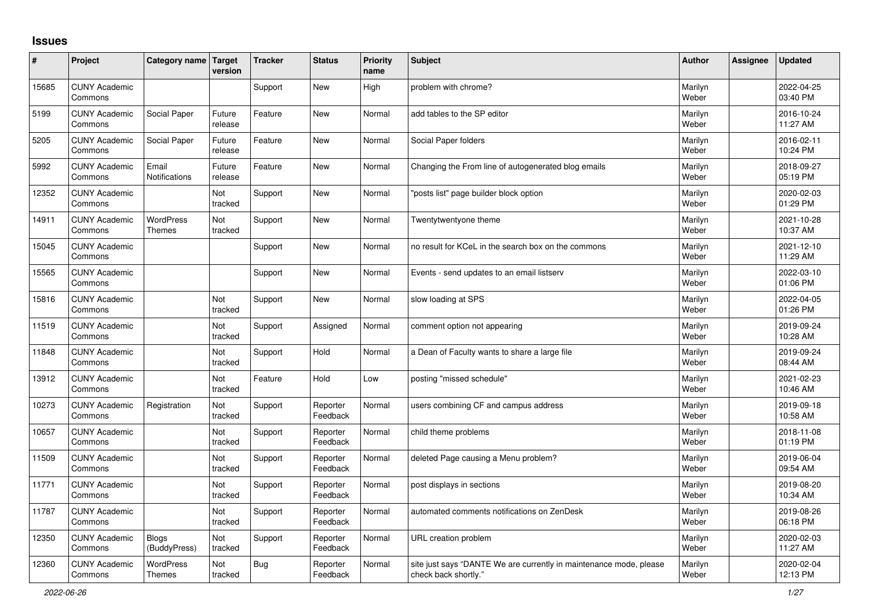## **Issues**

| ∦     | <b>Project</b>                  | Category name Target              | version           | <b>Tracker</b> | <b>Status</b>        | <b>Priority</b><br>name | <b>Subject</b>                                                                             | <b>Author</b>    | <b>Assignee</b> | <b>Updated</b>         |
|-------|---------------------------------|-----------------------------------|-------------------|----------------|----------------------|-------------------------|--------------------------------------------------------------------------------------------|------------------|-----------------|------------------------|
| 15685 | <b>CUNY Academic</b><br>Commons |                                   |                   | Support        | <b>New</b>           | High                    | problem with chrome?                                                                       | Marilyn<br>Weber |                 | 2022-04-25<br>03:40 PM |
| 5199  | <b>CUNY Academic</b><br>Commons | Social Paper                      | Future<br>release | Feature        | <b>New</b>           | Normal                  | add tables to the SP editor                                                                | Marilyn<br>Weber |                 | 2016-10-24<br>11:27 AM |
| 5205  | <b>CUNY Academic</b><br>Commons | Social Paper                      | Future<br>release | Feature        | <b>New</b>           | Normal                  | Social Paper folders                                                                       | Marilyn<br>Weber |                 | 2016-02-11<br>10:24 PM |
| 5992  | <b>CUNY Academic</b><br>Commons | Email<br>Notifications            | Future<br>release | Feature        | <b>New</b>           | Normal                  | Changing the From line of autogenerated blog emails                                        | Marilyn<br>Weber |                 | 2018-09-27<br>05:19 PM |
| 12352 | <b>CUNY Academic</b><br>Commons |                                   | Not<br>tracked    | Support        | <b>New</b>           | Normal                  | "posts list" page builder block option                                                     | Marilyn<br>Weber |                 | 2020-02-03<br>01:29 PM |
| 14911 | <b>CUNY Academic</b><br>Commons | <b>WordPress</b><br><b>Themes</b> | Not<br>tracked    | Support        | <b>New</b>           | Normal                  | Twentytwentyone theme                                                                      | Marilyn<br>Weber |                 | 2021-10-28<br>10:37 AM |
| 15045 | <b>CUNY Academic</b><br>Commons |                                   |                   | Support        | New                  | Normal                  | no result for KCeL in the search box on the commons                                        | Marilyn<br>Weber |                 | 2021-12-10<br>11:29 AM |
| 15565 | <b>CUNY Academic</b><br>Commons |                                   |                   | Support        | <b>New</b>           | Normal                  | Events - send updates to an email listserv                                                 | Marilyn<br>Weber |                 | 2022-03-10<br>01:06 PM |
| 15816 | <b>CUNY Academic</b><br>Commons |                                   | Not<br>tracked    | Support        | <b>New</b>           | Normal                  | slow loading at SPS                                                                        | Marilyn<br>Weber |                 | 2022-04-05<br>01:26 PM |
| 11519 | <b>CUNY Academic</b><br>Commons |                                   | Not<br>tracked    | Support        | Assigned             | Normal                  | comment option not appearing                                                               | Marilyn<br>Weber |                 | 2019-09-24<br>10:28 AM |
| 11848 | <b>CUNY Academic</b><br>Commons |                                   | Not<br>tracked    | Support        | Hold                 | Normal                  | a Dean of Faculty wants to share a large file                                              | Marilyn<br>Weber |                 | 2019-09-24<br>08:44 AM |
| 13912 | <b>CUNY Academic</b><br>Commons |                                   | Not<br>tracked    | Feature        | Hold                 | Low                     | posting "missed schedule"                                                                  | Marilyn<br>Weber |                 | 2021-02-23<br>10:46 AM |
| 10273 | <b>CUNY Academic</b><br>Commons | Registration                      | Not<br>tracked    | Support        | Reporter<br>Feedback | Normal                  | users combining CF and campus address                                                      | Marilyn<br>Weber |                 | 2019-09-18<br>10:58 AM |
| 10657 | <b>CUNY Academic</b><br>Commons |                                   | Not<br>tracked    | Support        | Reporter<br>Feedback | Normal                  | child theme problems                                                                       | Marilyn<br>Weber |                 | 2018-11-08<br>01:19 PM |
| 11509 | <b>CUNY Academic</b><br>Commons |                                   | Not<br>tracked    | Support        | Reporter<br>Feedback | Normal                  | deleted Page causing a Menu problem?                                                       | Marilyn<br>Weber |                 | 2019-06-04<br>09:54 AM |
| 11771 | <b>CUNY Academic</b><br>Commons |                                   | Not<br>tracked    | Support        | Reporter<br>Feedback | Normal                  | post displays in sections                                                                  | Marilyn<br>Weber |                 | 2019-08-20<br>10:34 AM |
| 11787 | <b>CUNY Academic</b><br>Commons |                                   | Not<br>tracked    | Support        | Reporter<br>Feedback | Normal                  | automated comments notifications on ZenDesk                                                | Marilyn<br>Weber |                 | 2019-08-26<br>06:18 PM |
| 12350 | <b>CUNY Academic</b><br>Commons | <b>Blogs</b><br>(BuddyPress)      | Not<br>tracked    | Support        | Reporter<br>Feedback | Normal                  | URL creation problem                                                                       | Marilyn<br>Weber |                 | 2020-02-03<br>11:27 AM |
| 12360 | <b>CUNY Academic</b><br>Commons | <b>WordPress</b><br><b>Themes</b> | Not<br>tracked    | Bug            | Reporter<br>Feedback | Normal                  | site just says "DANTE We are currently in maintenance mode, please<br>check back shortly." | Marilyn<br>Weber |                 | 2020-02-04<br>12:13 PM |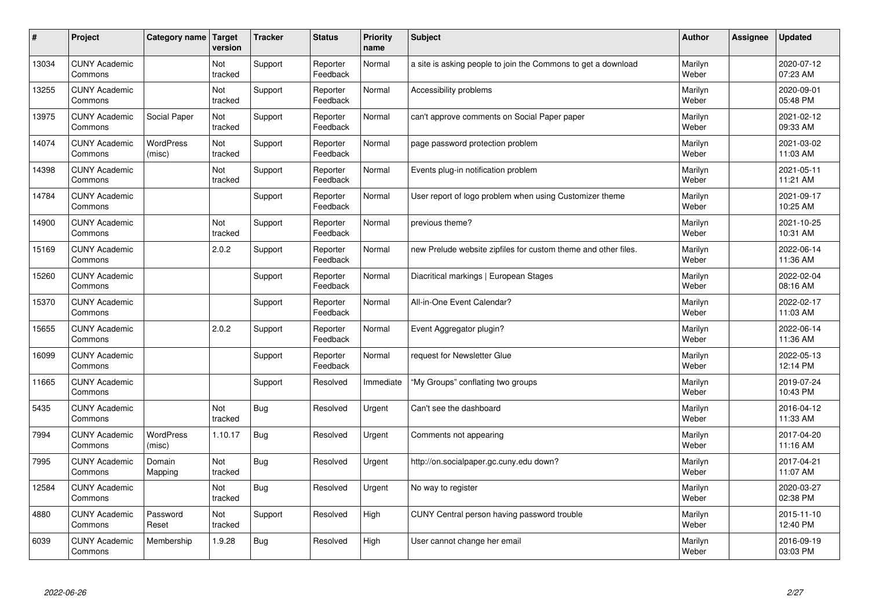| #     | Project                         | Category name              | Target<br>version     | <b>Tracker</b> | <b>Status</b>        | <b>Priority</b><br>name | <b>Subject</b>                                                 | <b>Author</b>    | Assignee | <b>Updated</b>         |
|-------|---------------------------------|----------------------------|-----------------------|----------------|----------------------|-------------------------|----------------------------------------------------------------|------------------|----------|------------------------|
| 13034 | <b>CUNY Academic</b><br>Commons |                            | Not<br>tracked        | Support        | Reporter<br>Feedback | Normal                  | a site is asking people to join the Commons to get a download  | Marilyn<br>Weber |          | 2020-07-12<br>07:23 AM |
| 13255 | <b>CUNY Academic</b><br>Commons |                            | Not<br>tracked        | Support        | Reporter<br>Feedback | Normal                  | Accessibility problems                                         | Marilyn<br>Weber |          | 2020-09-01<br>05:48 PM |
| 13975 | <b>CUNY Academic</b><br>Commons | Social Paper               | Not<br>tracked        | Support        | Reporter<br>Feedback | Normal                  | can't approve comments on Social Paper paper                   | Marilyn<br>Weber |          | 2021-02-12<br>09:33 AM |
| 14074 | <b>CUNY Academic</b><br>Commons | <b>WordPress</b><br>(misc) | Not<br>tracked        | Support        | Reporter<br>Feedback | Normal                  | page password protection problem                               | Marilyn<br>Weber |          | 2021-03-02<br>11:03 AM |
| 14398 | <b>CUNY Academic</b><br>Commons |                            | <b>Not</b><br>tracked | Support        | Reporter<br>Feedback | Normal                  | Events plug-in notification problem                            | Marilyn<br>Weber |          | 2021-05-11<br>11:21 AM |
| 14784 | <b>CUNY Academic</b><br>Commons |                            |                       | Support        | Reporter<br>Feedback | Normal                  | User report of logo problem when using Customizer theme        | Marilyn<br>Weber |          | 2021-09-17<br>10:25 AM |
| 14900 | <b>CUNY Academic</b><br>Commons |                            | Not<br>tracked        | Support        | Reporter<br>Feedback | Normal                  | previous theme?                                                | Marilyn<br>Weber |          | 2021-10-25<br>10:31 AM |
| 15169 | <b>CUNY Academic</b><br>Commons |                            | 2.0.2                 | Support        | Reporter<br>Feedback | Normal                  | new Prelude website zipfiles for custom theme and other files. | Marilyn<br>Weber |          | 2022-06-14<br>11:36 AM |
| 15260 | <b>CUNY Academic</b><br>Commons |                            |                       | Support        | Reporter<br>Feedback | Normal                  | Diacritical markings   European Stages                         | Marilyn<br>Weber |          | 2022-02-04<br>08:16 AM |
| 15370 | <b>CUNY Academic</b><br>Commons |                            |                       | Support        | Reporter<br>Feedback | Normal                  | All-in-One Event Calendar?                                     | Marilyn<br>Weber |          | 2022-02-17<br>11:03 AM |
| 15655 | <b>CUNY Academic</b><br>Commons |                            | 2.0.2                 | Support        | Reporter<br>Feedback | Normal                  | Event Aggregator plugin?                                       | Marilyn<br>Weber |          | 2022-06-14<br>11:36 AM |
| 16099 | <b>CUNY Academic</b><br>Commons |                            |                       | Support        | Reporter<br>Feedback | Normal                  | request for Newsletter Glue                                    | Marilyn<br>Weber |          | 2022-05-13<br>12:14 PM |
| 11665 | <b>CUNY Academic</b><br>Commons |                            |                       | Support        | Resolved             | Immediate               | 'My Groups" conflating two groups                              | Marilyn<br>Weber |          | 2019-07-24<br>10:43 PM |
| 5435  | <b>CUNY Academic</b><br>Commons |                            | Not<br>tracked        | <b>Bug</b>     | Resolved             | Urgent                  | Can't see the dashboard                                        | Marilyn<br>Weber |          | 2016-04-12<br>11:33 AM |
| 7994  | <b>CUNY Academic</b><br>Commons | <b>WordPress</b><br>(misc) | 1.10.17               | <b>Bug</b>     | Resolved             | Urgent                  | Comments not appearing                                         | Marilyn<br>Weber |          | 2017-04-20<br>11:16 AM |
| 7995  | <b>CUNY Academic</b><br>Commons | Domain<br>Mapping          | Not<br>tracked        | <b>Bug</b>     | Resolved             | Urgent                  | http://on.socialpaper.gc.cuny.edu down?                        | Marilyn<br>Weber |          | 2017-04-21<br>11:07 AM |
| 12584 | <b>CUNY Academic</b><br>Commons |                            | Not<br>tracked        | <b>Bug</b>     | Resolved             | Urgent                  | No way to register                                             | Marilyn<br>Weber |          | 2020-03-27<br>02:38 PM |
| 4880  | <b>CUNY Academic</b><br>Commons | Password<br>Reset          | Not<br>tracked        | Support        | Resolved             | High                    | CUNY Central person having password trouble                    | Marilyn<br>Weber |          | 2015-11-10<br>12:40 PM |
| 6039  | <b>CUNY Academic</b><br>Commons | Membership                 | 1.9.28                | Bug            | Resolved             | High                    | User cannot change her email                                   | Marilyn<br>Weber |          | 2016-09-19<br>03:03 PM |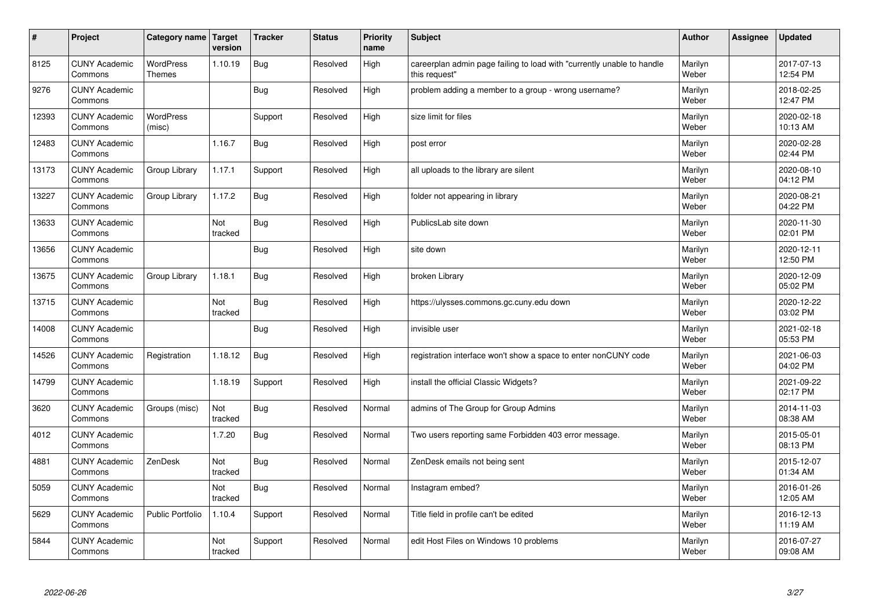| #     | Project                         | Category name Target              | version        | <b>Tracker</b> | <b>Status</b> | <b>Priority</b><br>name | <b>Subject</b>                                                                          | <b>Author</b>    | <b>Assignee</b> | <b>Updated</b>         |
|-------|---------------------------------|-----------------------------------|----------------|----------------|---------------|-------------------------|-----------------------------------------------------------------------------------------|------------------|-----------------|------------------------|
| 8125  | <b>CUNY Academic</b><br>Commons | <b>WordPress</b><br><b>Themes</b> | 1.10.19        | Bug            | Resolved      | High                    | careerplan admin page failing to load with "currently unable to handle<br>this request" | Marilyn<br>Weber |                 | 2017-07-13<br>12:54 PM |
| 9276  | <b>CUNY Academic</b><br>Commons |                                   |                | Bug            | Resolved      | High                    | problem adding a member to a group - wrong username?                                    | Marilyn<br>Weber |                 | 2018-02-25<br>12:47 PM |
| 12393 | <b>CUNY Academic</b><br>Commons | <b>WordPress</b><br>(misc)        |                | Support        | Resolved      | High                    | size limit for files                                                                    | Marilyn<br>Weber |                 | 2020-02-18<br>10:13 AM |
| 12483 | <b>CUNY Academic</b><br>Commons |                                   | 1.16.7         | <b>Bug</b>     | Resolved      | High                    | post error                                                                              | Marilyn<br>Weber |                 | 2020-02-28<br>02:44 PM |
| 13173 | <b>CUNY Academic</b><br>Commons | Group Library                     | 1.17.1         | Support        | Resolved      | High                    | all uploads to the library are silent                                                   | Marilyn<br>Weber |                 | 2020-08-10<br>04:12 PM |
| 13227 | <b>CUNY Academic</b><br>Commons | Group Library                     | 1.17.2         | <b>Bug</b>     | Resolved      | High                    | folder not appearing in library                                                         | Marilyn<br>Weber |                 | 2020-08-21<br>04:22 PM |
| 13633 | <b>CUNY Academic</b><br>Commons |                                   | Not<br>tracked | Bug            | Resolved      | High                    | PublicsLab site down                                                                    | Marilyn<br>Weber |                 | 2020-11-30<br>02:01 PM |
| 13656 | <b>CUNY Academic</b><br>Commons |                                   |                | Bug            | Resolved      | High                    | site down                                                                               | Marilyn<br>Weber |                 | 2020-12-11<br>12:50 PM |
| 13675 | <b>CUNY Academic</b><br>Commons | Group Library                     | 1.18.1         | Bug            | Resolved      | High                    | broken Library                                                                          | Marilyn<br>Weber |                 | 2020-12-09<br>05:02 PM |
| 13715 | <b>CUNY Academic</b><br>Commons |                                   | Not<br>tracked | Bug            | Resolved      | High                    | https://ulysses.commons.gc.cuny.edu down                                                | Marilyn<br>Weber |                 | 2020-12-22<br>03:02 PM |
| 14008 | <b>CUNY Academic</b><br>Commons |                                   |                | Bug            | Resolved      | High                    | invisible user                                                                          | Marilyn<br>Weber |                 | 2021-02-18<br>05:53 PM |
| 14526 | <b>CUNY Academic</b><br>Commons | Registration                      | 1.18.12        | <b>Bug</b>     | Resolved      | High                    | registration interface won't show a space to enter nonCUNY code                         | Marilyn<br>Weber |                 | 2021-06-03<br>04:02 PM |
| 14799 | <b>CUNY Academic</b><br>Commons |                                   | 1.18.19        | Support        | Resolved      | High                    | install the official Classic Widgets?                                                   | Marilyn<br>Weber |                 | 2021-09-22<br>02:17 PM |
| 3620  | <b>CUNY Academic</b><br>Commons | Groups (misc)                     | Not<br>tracked | Bug            | Resolved      | Normal                  | admins of The Group for Group Admins                                                    | Marilyn<br>Weber |                 | 2014-11-03<br>08:38 AM |
| 4012  | <b>CUNY Academic</b><br>Commons |                                   | 1.7.20         | Bug            | Resolved      | Normal                  | Two users reporting same Forbidden 403 error message.                                   | Marilyn<br>Weber |                 | 2015-05-01<br>08:13 PM |
| 4881  | <b>CUNY Academic</b><br>Commons | ZenDesk                           | Not<br>tracked | <b>Bug</b>     | Resolved      | Normal                  | ZenDesk emails not being sent                                                           | Marilyn<br>Weber |                 | 2015-12-07<br>01:34 AM |
| 5059  | <b>CUNY Academic</b><br>Commons |                                   | Not<br>tracked | Bug            | Resolved      | Normal                  | Instagram embed?                                                                        | Marilyn<br>Weber |                 | 2016-01-26<br>12:05 AM |
| 5629  | <b>CUNY Academic</b><br>Commons | <b>Public Portfolio</b>           | 1.10.4         | Support        | Resolved      | Normal                  | Title field in profile can't be edited                                                  | Marilyn<br>Weber |                 | 2016-12-13<br>11:19 AM |
| 5844  | <b>CUNY Academic</b><br>Commons |                                   | Not<br>tracked | Support        | Resolved      | Normal                  | edit Host Files on Windows 10 problems                                                  | Marilyn<br>Weber |                 | 2016-07-27<br>09:08 AM |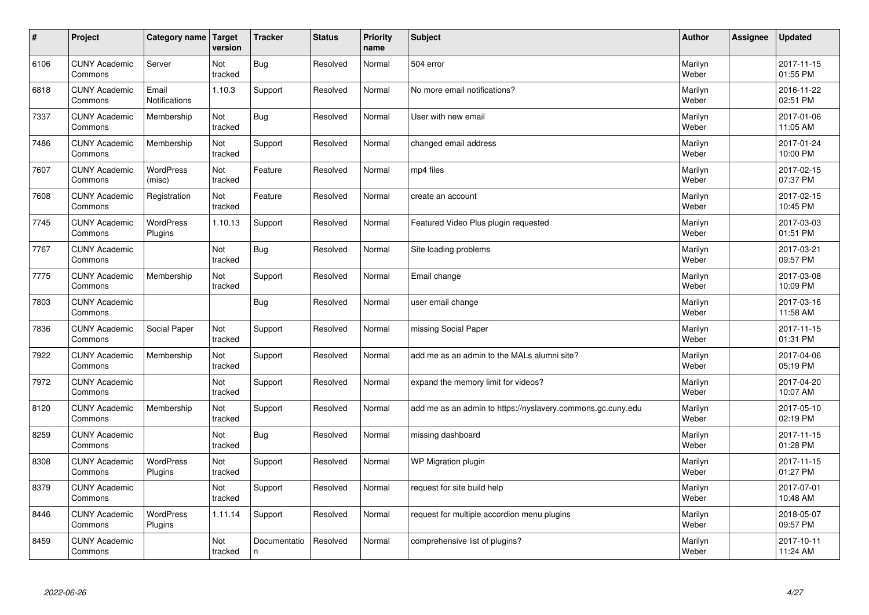| $\vert$ # | Project                         | Category name   Target        | version        | <b>Tracker</b>    | <b>Status</b> | <b>Priority</b><br>name | <b>Subject</b>                                              | <b>Author</b>    | Assignee | <b>Updated</b>         |
|-----------|---------------------------------|-------------------------------|----------------|-------------------|---------------|-------------------------|-------------------------------------------------------------|------------------|----------|------------------------|
| 6106      | <b>CUNY Academic</b><br>Commons | Server                        | Not<br>tracked | Bug               | Resolved      | Normal                  | 504 error                                                   | Marilyn<br>Weber |          | 2017-11-15<br>01:55 PM |
| 6818      | <b>CUNY Academic</b><br>Commons | Email<br><b>Notifications</b> | 1.10.3         | Support           | Resolved      | Normal                  | No more email notifications?                                | Marilyn<br>Weber |          | 2016-11-22<br>02:51 PM |
| 7337      | <b>CUNY Academic</b><br>Commons | Membership                    | Not<br>tracked | Bug               | Resolved      | Normal                  | User with new email                                         | Marilyn<br>Weber |          | 2017-01-06<br>11:05 AM |
| 7486      | <b>CUNY Academic</b><br>Commons | Membership                    | Not<br>tracked | Support           | Resolved      | Normal                  | changed email address                                       | Marilyn<br>Weber |          | 2017-01-24<br>10:00 PM |
| 7607      | <b>CUNY Academic</b><br>Commons | <b>WordPress</b><br>(misc)    | Not<br>tracked | Feature           | Resolved      | Normal                  | mp4 files                                                   | Marilyn<br>Weber |          | 2017-02-15<br>07:37 PM |
| 7608      | <b>CUNY Academic</b><br>Commons | Registration                  | Not<br>tracked | Feature           | Resolved      | Normal                  | create an account                                           | Marilyn<br>Weber |          | 2017-02-15<br>10:45 PM |
| 7745      | <b>CUNY Academic</b><br>Commons | WordPress<br>Plugins          | 1.10.13        | Support           | Resolved      | Normal                  | Featured Video Plus plugin requested                        | Marilyn<br>Weber |          | 2017-03-03<br>01:51 PM |
| 7767      | <b>CUNY Academic</b><br>Commons |                               | Not<br>tracked | Bug               | Resolved      | Normal                  | Site loading problems                                       | Marilyn<br>Weber |          | 2017-03-21<br>09:57 PM |
| 7775      | <b>CUNY Academic</b><br>Commons | Membership                    | Not<br>tracked | Support           | Resolved      | Normal                  | Email change                                                | Marilyn<br>Weber |          | 2017-03-08<br>10:09 PM |
| 7803      | <b>CUNY Academic</b><br>Commons |                               |                | <b>Bug</b>        | Resolved      | Normal                  | user email change                                           | Marilyn<br>Weber |          | 2017-03-16<br>11:58 AM |
| 7836      | <b>CUNY Academic</b><br>Commons | Social Paper                  | Not<br>tracked | Support           | Resolved      | Normal                  | missing Social Paper                                        | Marilyn<br>Weber |          | 2017-11-15<br>01:31 PM |
| 7922      | <b>CUNY Academic</b><br>Commons | Membership                    | Not<br>tracked | Support           | Resolved      | Normal                  | add me as an admin to the MALs alumni site?                 | Marilyn<br>Weber |          | 2017-04-06<br>05:19 PM |
| 7972      | <b>CUNY Academic</b><br>Commons |                               | Not<br>tracked | Support           | Resolved      | Normal                  | expand the memory limit for videos?                         | Marilyn<br>Weber |          | 2017-04-20<br>10:07 AM |
| 8120      | <b>CUNY Academic</b><br>Commons | Membership                    | Not<br>tracked | Support           | Resolved      | Normal                  | add me as an admin to https://nyslavery.commons.gc.cuny.edu | Marilyn<br>Weber |          | 2017-05-10<br>02:19 PM |
| 8259      | <b>CUNY Academic</b><br>Commons |                               | Not<br>tracked | Bug               | Resolved      | Normal                  | missing dashboard                                           | Marilyn<br>Weber |          | 2017-11-15<br>01:28 PM |
| 8308      | <b>CUNY Academic</b><br>Commons | <b>WordPress</b><br>Plugins   | Not<br>tracked | Support           | Resolved      | Normal                  | WP Migration plugin                                         | Marilyn<br>Weber |          | 2017-11-15<br>01:27 PM |
| 8379      | <b>CUNY Academic</b><br>Commons |                               | Not<br>tracked | Support           | Resolved      | Normal                  | request for site build help                                 | Marilyn<br>Weber |          | 2017-07-01<br>10:48 AM |
| 8446      | <b>CUNY Academic</b><br>Commons | <b>WordPress</b><br>Plugins   | 1.11.14        | Support           | Resolved      | Normal                  | request for multiple accordion menu plugins                 | Marilyn<br>Weber |          | 2018-05-07<br>09:57 PM |
| 8459      | <b>CUNY Academic</b><br>Commons |                               | Not<br>tracked | Documentatio<br>n | Resolved      | Normal                  | comprehensive list of plugins?                              | Marilyn<br>Weber |          | 2017-10-11<br>11:24 AM |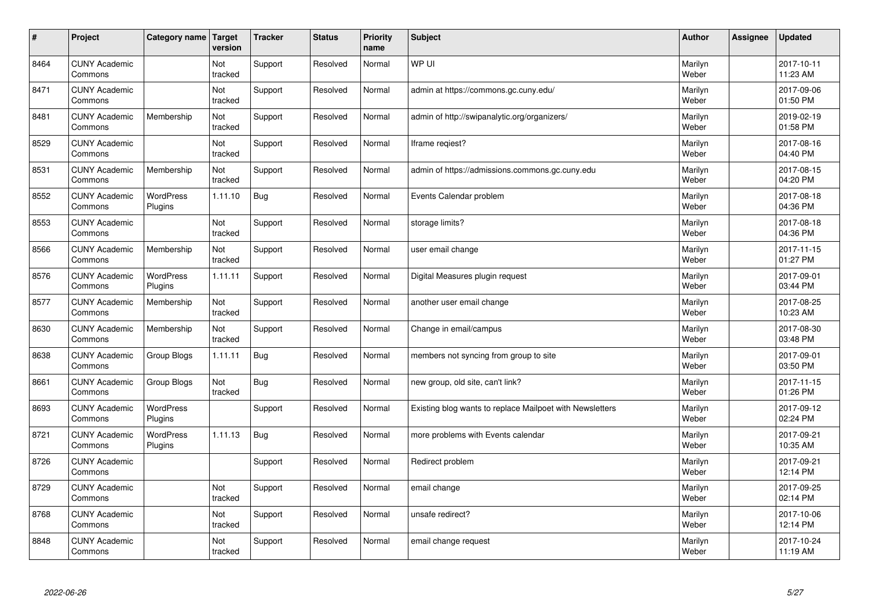| $\vert$ # | Project                         | Category name               | Target<br>version | <b>Tracker</b> | <b>Status</b> | <b>Priority</b><br>name | <b>Subject</b>                                           | <b>Author</b>    | Assignee | <b>Updated</b>         |
|-----------|---------------------------------|-----------------------------|-------------------|----------------|---------------|-------------------------|----------------------------------------------------------|------------------|----------|------------------------|
| 8464      | <b>CUNY Academic</b><br>Commons |                             | Not<br>tracked    | Support        | Resolved      | Normal                  | WP UI                                                    | Marilyn<br>Weber |          | 2017-10-11<br>11:23 AM |
| 8471      | <b>CUNY Academic</b><br>Commons |                             | Not<br>tracked    | Support        | Resolved      | Normal                  | admin at https://commons.gc.cuny.edu/                    | Marilyn<br>Weber |          | 2017-09-06<br>01:50 PM |
| 8481      | <b>CUNY Academic</b><br>Commons | Membership                  | Not<br>tracked    | Support        | Resolved      | Normal                  | admin of http://swipanalytic.org/organizers/             | Marilyn<br>Weber |          | 2019-02-19<br>01:58 PM |
| 8529      | <b>CUNY Academic</b><br>Commons |                             | Not<br>tracked    | Support        | Resolved      | Normal                  | Iframe regiest?                                          | Marilyn<br>Weber |          | 2017-08-16<br>04:40 PM |
| 8531      | <b>CUNY Academic</b><br>Commons | Membership                  | Not<br>tracked    | Support        | Resolved      | Normal                  | admin of https://admissions.commons.gc.cuny.edu          | Marilyn<br>Weber |          | 2017-08-15<br>04:20 PM |
| 8552      | <b>CUNY Academic</b><br>Commons | <b>WordPress</b><br>Plugins | 1.11.10           | Bug            | Resolved      | Normal                  | Events Calendar problem                                  | Marilyn<br>Weber |          | 2017-08-18<br>04:36 PM |
| 8553      | <b>CUNY Academic</b><br>Commons |                             | Not<br>tracked    | Support        | Resolved      | Normal                  | storage limits?                                          | Marilyn<br>Weber |          | 2017-08-18<br>04:36 PM |
| 8566      | <b>CUNY Academic</b><br>Commons | Membership                  | Not<br>tracked    | Support        | Resolved      | Normal                  | user email change                                        | Marilyn<br>Weber |          | 2017-11-15<br>01:27 PM |
| 8576      | <b>CUNY Academic</b><br>Commons | <b>WordPress</b><br>Plugins | 1.11.11           | Support        | Resolved      | Normal                  | Digital Measures plugin request                          | Marilyn<br>Weber |          | 2017-09-01<br>03:44 PM |
| 8577      | <b>CUNY Academic</b><br>Commons | Membership                  | Not<br>tracked    | Support        | Resolved      | Normal                  | another user email change                                | Marilyn<br>Weber |          | 2017-08-25<br>10:23 AM |
| 8630      | <b>CUNY Academic</b><br>Commons | Membership                  | Not<br>tracked    | Support        | Resolved      | Normal                  | Change in email/campus                                   | Marilyn<br>Weber |          | 2017-08-30<br>03:48 PM |
| 8638      | <b>CUNY Academic</b><br>Commons | Group Blogs                 | 1.11.11           | Bug            | Resolved      | Normal                  | members not syncing from group to site                   | Marilyn<br>Weber |          | 2017-09-01<br>03:50 PM |
| 8661      | <b>CUNY Academic</b><br>Commons | Group Blogs                 | Not<br>tracked    | Bug            | Resolved      | Normal                  | new group, old site, can't link?                         | Marilyn<br>Weber |          | 2017-11-15<br>01:26 PM |
| 8693      | <b>CUNY Academic</b><br>Commons | WordPress<br>Plugins        |                   | Support        | Resolved      | Normal                  | Existing blog wants to replace Mailpoet with Newsletters | Marilyn<br>Weber |          | 2017-09-12<br>02:24 PM |
| 8721      | <b>CUNY Academic</b><br>Commons | <b>WordPress</b><br>Plugins | 1.11.13           | Bug            | Resolved      | Normal                  | more problems with Events calendar                       | Marilyn<br>Weber |          | 2017-09-21<br>10:35 AM |
| 8726      | <b>CUNY Academic</b><br>Commons |                             |                   | Support        | Resolved      | Normal                  | Redirect problem                                         | Marilyn<br>Weber |          | 2017-09-21<br>12:14 PM |
| 8729      | <b>CUNY Academic</b><br>Commons |                             | Not<br>tracked    | Support        | Resolved      | Normal                  | email change                                             | Marilyn<br>Weber |          | 2017-09-25<br>02:14 PM |
| 8768      | <b>CUNY Academic</b><br>Commons |                             | Not<br>tracked    | Support        | Resolved      | Normal                  | unsafe redirect?                                         | Marilyn<br>Weber |          | 2017-10-06<br>12:14 PM |
| 8848      | <b>CUNY Academic</b><br>Commons |                             | Not<br>tracked    | Support        | Resolved      | Normal                  | email change request                                     | Marilyn<br>Weber |          | 2017-10-24<br>11:19 AM |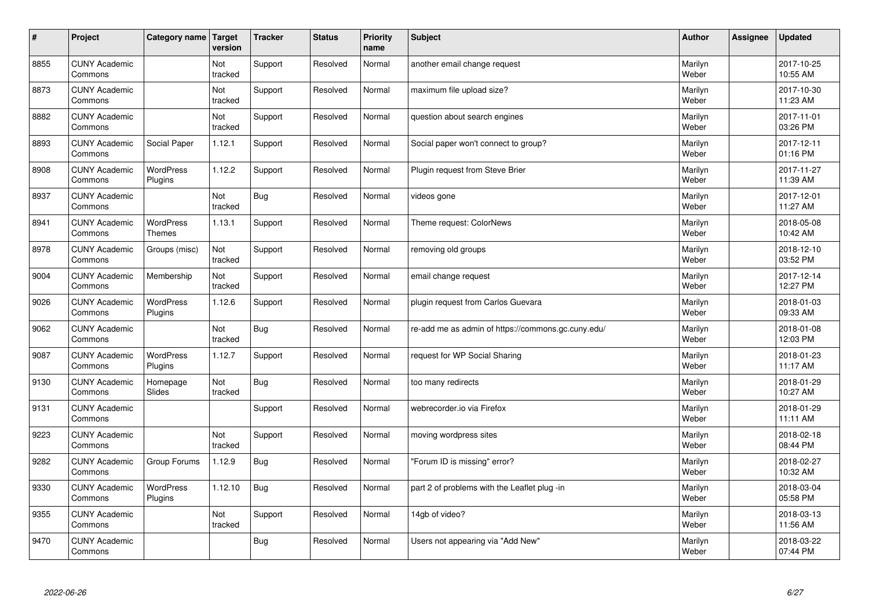| $\sharp$ | Project                         | Category name                     | Target<br>version     | <b>Tracker</b> | <b>Status</b> | <b>Priority</b><br>name | <b>Subject</b>                                     | <b>Author</b>    | <b>Assignee</b> | <b>Updated</b>         |
|----------|---------------------------------|-----------------------------------|-----------------------|----------------|---------------|-------------------------|----------------------------------------------------|------------------|-----------------|------------------------|
| 8855     | <b>CUNY Academic</b><br>Commons |                                   | Not<br>tracked        | Support        | Resolved      | Normal                  | another email change request                       | Marilyn<br>Weber |                 | 2017-10-25<br>10:55 AM |
| 8873     | <b>CUNY Academic</b><br>Commons |                                   | Not<br>tracked        | Support        | Resolved      | Normal                  | maximum file upload size?                          | Marilyn<br>Weber |                 | 2017-10-30<br>11:23 AM |
| 8882     | <b>CUNY Academic</b><br>Commons |                                   | Not<br>tracked        | Support        | Resolved      | Normal                  | question about search engines                      | Marilyn<br>Weber |                 | 2017-11-01<br>03:26 PM |
| 8893     | <b>CUNY Academic</b><br>Commons | Social Paper                      | 1.12.1                | Support        | Resolved      | Normal                  | Social paper won't connect to group?               | Marilyn<br>Weber |                 | 2017-12-11<br>01:16 PM |
| 8908     | <b>CUNY Academic</b><br>Commons | <b>WordPress</b><br>Plugins       | 1.12.2                | Support        | Resolved      | Normal                  | Plugin request from Steve Brier                    | Marilyn<br>Weber |                 | 2017-11-27<br>11:39 AM |
| 8937     | <b>CUNY Academic</b><br>Commons |                                   | <b>Not</b><br>tracked | <b>Bug</b>     | Resolved      | Normal                  | videos gone                                        | Marilyn<br>Weber |                 | 2017-12-01<br>11:27 AM |
| 8941     | <b>CUNY Academic</b><br>Commons | <b>WordPress</b><br><b>Themes</b> | 1.13.1                | Support        | Resolved      | Normal                  | Theme request: ColorNews                           | Marilyn<br>Weber |                 | 2018-05-08<br>10:42 AM |
| 8978     | <b>CUNY Academic</b><br>Commons | Groups (misc)                     | Not<br>tracked        | Support        | Resolved      | Normal                  | removing old groups                                | Marilyn<br>Weber |                 | 2018-12-10<br>03:52 PM |
| 9004     | <b>CUNY Academic</b><br>Commons | Membership                        | Not<br>tracked        | Support        | Resolved      | Normal                  | email change request                               | Marilyn<br>Weber |                 | 2017-12-14<br>12:27 PM |
| 9026     | <b>CUNY Academic</b><br>Commons | WordPress<br>Plugins              | 1.12.6                | Support        | Resolved      | Normal                  | plugin request from Carlos Guevara                 | Marilyn<br>Weber |                 | 2018-01-03<br>09:33 AM |
| 9062     | <b>CUNY Academic</b><br>Commons |                                   | Not<br>tracked        | <b>Bug</b>     | Resolved      | Normal                  | re-add me as admin of https://commons.gc.cuny.edu/ | Marilyn<br>Weber |                 | 2018-01-08<br>12:03 PM |
| 9087     | <b>CUNY Academic</b><br>Commons | <b>WordPress</b><br>Plugins       | 1.12.7                | Support        | Resolved      | Normal                  | request for WP Social Sharing                      | Marilyn<br>Weber |                 | 2018-01-23<br>11:17 AM |
| 9130     | <b>CUNY Academic</b><br>Commons | Homepage<br>Slides                | Not<br>tracked        | Bug            | Resolved      | Normal                  | too many redirects                                 | Marilyn<br>Weber |                 | 2018-01-29<br>10:27 AM |
| 9131     | <b>CUNY Academic</b><br>Commons |                                   |                       | Support        | Resolved      | Normal                  | webrecorder.io via Firefox                         | Marilyn<br>Weber |                 | 2018-01-29<br>11:11 AM |
| 9223     | <b>CUNY Academic</b><br>Commons |                                   | Not<br>tracked        | Support        | Resolved      | Normal                  | moving wordpress sites                             | Marilyn<br>Weber |                 | 2018-02-18<br>08:44 PM |
| 9282     | <b>CUNY Academic</b><br>Commons | Group Forums                      | 1.12.9                | Bug            | Resolved      | Normal                  | "Forum ID is missing" error?                       | Marilyn<br>Weber |                 | 2018-02-27<br>10:32 AM |
| 9330     | <b>CUNY Academic</b><br>Commons | WordPress<br>Plugins              | 1.12.10               | <b>Bug</b>     | Resolved      | Normal                  | part 2 of problems with the Leaflet plug -in       | Marilyn<br>Weber |                 | 2018-03-04<br>05:58 PM |
| 9355     | <b>CUNY Academic</b><br>Commons |                                   | Not<br>tracked        | Support        | Resolved      | Normal                  | 14gb of video?                                     | Marilyn<br>Weber |                 | 2018-03-13<br>11:56 AM |
| 9470     | <b>CUNY Academic</b><br>Commons |                                   |                       | Bug            | Resolved      | Normal                  | Users not appearing via "Add New"                  | Marilyn<br>Weber |                 | 2018-03-22<br>07:44 PM |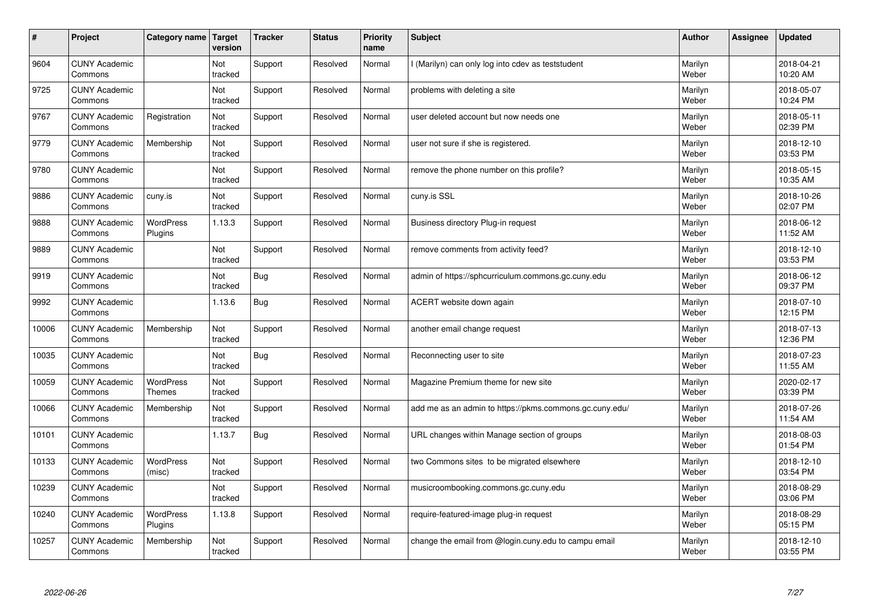| #     | Project                         | Category name               | Target<br>version | <b>Tracker</b> | <b>Status</b> | <b>Priority</b><br>name | <b>Subject</b>                                          | <b>Author</b>    | Assignee | <b>Updated</b>         |
|-------|---------------------------------|-----------------------------|-------------------|----------------|---------------|-------------------------|---------------------------------------------------------|------------------|----------|------------------------|
| 9604  | <b>CUNY Academic</b><br>Commons |                             | Not<br>tracked    | Support        | Resolved      | Normal                  | l (Marilyn) can only log into cdev as teststudent       | Marilyn<br>Weber |          | 2018-04-21<br>10:20 AM |
| 9725  | <b>CUNY Academic</b><br>Commons |                             | Not<br>tracked    | Support        | Resolved      | Normal                  | problems with deleting a site                           | Marilyn<br>Weber |          | 2018-05-07<br>10:24 PM |
| 9767  | <b>CUNY Academic</b><br>Commons | Registration                | Not<br>tracked    | Support        | Resolved      | Normal                  | user deleted account but now needs one                  | Marilyn<br>Weber |          | 2018-05-11<br>02:39 PM |
| 9779  | <b>CUNY Academic</b><br>Commons | Membership                  | Not<br>tracked    | Support        | Resolved      | Normal                  | user not sure if she is registered.                     | Marilyn<br>Weber |          | 2018-12-10<br>03:53 PM |
| 9780  | <b>CUNY Academic</b><br>Commons |                             | Not<br>tracked    | Support        | Resolved      | Normal                  | remove the phone number on this profile?                | Marilyn<br>Weber |          | 2018-05-15<br>10:35 AM |
| 9886  | <b>CUNY Academic</b><br>Commons | cuny.is                     | Not<br>tracked    | Support        | Resolved      | Normal                  | cuny.is SSL                                             | Marilyn<br>Weber |          | 2018-10-26<br>02:07 PM |
| 9888  | <b>CUNY Academic</b><br>Commons | WordPress<br>Plugins        | 1.13.3            | Support        | Resolved      | Normal                  | Business directory Plug-in request                      | Marilyn<br>Weber |          | 2018-06-12<br>11:52 AM |
| 9889  | <b>CUNY Academic</b><br>Commons |                             | Not<br>tracked    | Support        | Resolved      | Normal                  | remove comments from activity feed?                     | Marilyn<br>Weber |          | 2018-12-10<br>03:53 PM |
| 9919  | <b>CUNY Academic</b><br>Commons |                             | Not<br>tracked    | Bug            | Resolved      | Normal                  | admin of https://sphcurriculum.commons.gc.cuny.edu      | Marilyn<br>Weber |          | 2018-06-12<br>09:37 PM |
| 9992  | <b>CUNY Academic</b><br>Commons |                             | 1.13.6            | <b>Bug</b>     | Resolved      | Normal                  | ACERT website down again                                | Marilyn<br>Weber |          | 2018-07-10<br>12:15 PM |
| 10006 | <b>CUNY Academic</b><br>Commons | Membership                  | Not<br>tracked    | Support        | Resolved      | Normal                  | another email change request                            | Marilyn<br>Weber |          | 2018-07-13<br>12:36 PM |
| 10035 | <b>CUNY Academic</b><br>Commons |                             | Not<br>tracked    | <b>Bug</b>     | Resolved      | Normal                  | Reconnecting user to site                               | Marilyn<br>Weber |          | 2018-07-23<br>11:55 AM |
| 10059 | <b>CUNY Academic</b><br>Commons | <b>WordPress</b><br>Themes  | Not<br>tracked    | Support        | Resolved      | Normal                  | Magazine Premium theme for new site                     | Marilyn<br>Weber |          | 2020-02-17<br>03:39 PM |
| 10066 | <b>CUNY Academic</b><br>Commons | Membership                  | Not<br>tracked    | Support        | Resolved      | Normal                  | add me as an admin to https://pkms.commons.gc.cuny.edu/ | Marilyn<br>Weber |          | 2018-07-26<br>11:54 AM |
| 10101 | <b>CUNY Academic</b><br>Commons |                             | 1.13.7            | <b>Bug</b>     | Resolved      | Normal                  | URL changes within Manage section of groups             | Marilyn<br>Weber |          | 2018-08-03<br>01:54 PM |
| 10133 | <b>CUNY Academic</b><br>Commons | <b>WordPress</b><br>(misc)  | Not<br>tracked    | Support        | Resolved      | Normal                  | two Commons sites to be migrated elsewhere              | Marilyn<br>Weber |          | 2018-12-10<br>03:54 PM |
| 10239 | <b>CUNY Academic</b><br>Commons |                             | Not<br>tracked    | Support        | Resolved      | Normal                  | musicroombooking.commons.gc.cuny.edu                    | Marilyn<br>Weber |          | 2018-08-29<br>03:06 PM |
| 10240 | <b>CUNY Academic</b><br>Commons | <b>WordPress</b><br>Plugins | 1.13.8            | Support        | Resolved      | Normal                  | require-featured-image plug-in request                  | Marilyn<br>Weber |          | 2018-08-29<br>05:15 PM |
| 10257 | <b>CUNY Academic</b><br>Commons | Membership                  | Not<br>tracked    | Support        | Resolved      | Normal                  | change the email from @login.cuny.edu to campu email    | Marilyn<br>Weber |          | 2018-12-10<br>03:55 PM |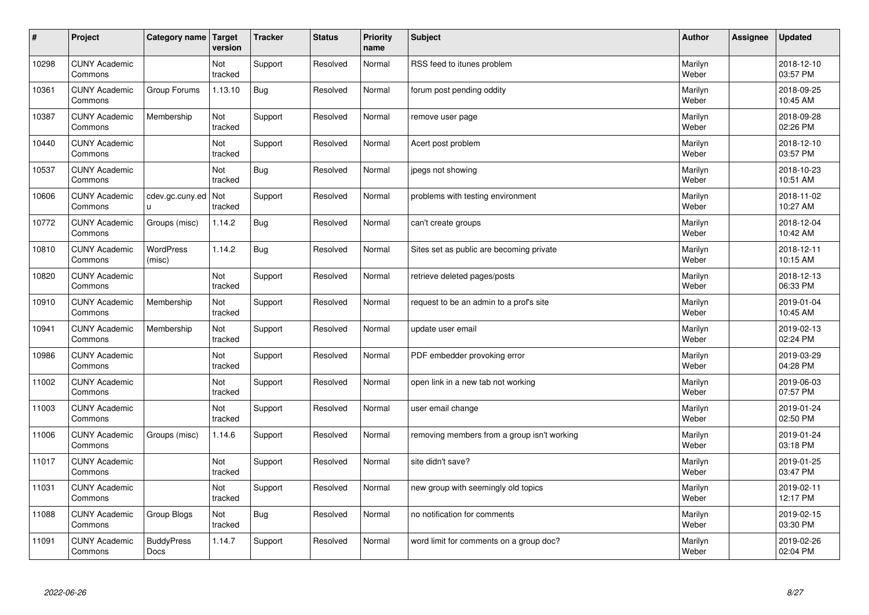| $\sharp$ | Project                         | Category name              | Target<br>version | <b>Tracker</b> | <b>Status</b> | <b>Priority</b><br>name | <b>Subject</b>                              | <b>Author</b>    | <b>Assignee</b> | <b>Updated</b>         |
|----------|---------------------------------|----------------------------|-------------------|----------------|---------------|-------------------------|---------------------------------------------|------------------|-----------------|------------------------|
| 10298    | <b>CUNY Academic</b><br>Commons |                            | Not<br>tracked    | Support        | Resolved      | Normal                  | RSS feed to itunes problem                  | Marilyn<br>Weber |                 | 2018-12-10<br>03:57 PM |
| 10361    | <b>CUNY Academic</b><br>Commons | Group Forums               | 1.13.10           | <b>Bug</b>     | Resolved      | Normal                  | forum post pending oddity                   | Marilyn<br>Weber |                 | 2018-09-25<br>10:45 AM |
| 10387    | <b>CUNY Academic</b><br>Commons | Membership                 | Not<br>tracked    | Support        | Resolved      | Normal                  | remove user page                            | Marilyn<br>Weber |                 | 2018-09-28<br>02:26 PM |
| 10440    | <b>CUNY Academic</b><br>Commons |                            | Not<br>tracked    | Support        | Resolved      | Normal                  | Acert post problem                          | Marilyn<br>Weber |                 | 2018-12-10<br>03:57 PM |
| 10537    | <b>CUNY Academic</b><br>Commons |                            | Not<br>tracked    | <b>Bug</b>     | Resolved      | Normal                  | jpegs not showing                           | Marilyn<br>Weber |                 | 2018-10-23<br>10:51 AM |
| 10606    | <b>CUNY Academic</b><br>Commons | cdev.gc.cuny.ed<br>u       | Not<br>tracked    | Support        | Resolved      | Normal                  | problems with testing environment           | Marilyn<br>Weber |                 | 2018-11-02<br>10:27 AM |
| 10772    | <b>CUNY Academic</b><br>Commons | Groups (misc)              | 1.14.2            | Bug            | Resolved      | Normal                  | can't create groups                         | Marilyn<br>Weber |                 | 2018-12-04<br>10:42 AM |
| 10810    | <b>CUNY Academic</b><br>Commons | <b>WordPress</b><br>(misc) | 1.14.2            | Bug            | Resolved      | Normal                  | Sites set as public are becoming private    | Marilyn<br>Weber |                 | 2018-12-11<br>10:15 AM |
| 10820    | <b>CUNY Academic</b><br>Commons |                            | Not<br>tracked    | Support        | Resolved      | Normal                  | retrieve deleted pages/posts                | Marilyn<br>Weber |                 | 2018-12-13<br>06:33 PM |
| 10910    | <b>CUNY Academic</b><br>Commons | Membership                 | Not<br>tracked    | Support        | Resolved      | Normal                  | request to be an admin to a prof's site     | Marilyn<br>Weber |                 | 2019-01-04<br>10:45 AM |
| 10941    | <b>CUNY Academic</b><br>Commons | Membership                 | Not<br>tracked    | Support        | Resolved      | Normal                  | update user email                           | Marilyn<br>Weber |                 | 2019-02-13<br>02:24 PM |
| 10986    | <b>CUNY Academic</b><br>Commons |                            | Not<br>tracked    | Support        | Resolved      | Normal                  | PDF embedder provoking error                | Marilyn<br>Weber |                 | 2019-03-29<br>04:28 PM |
| 11002    | <b>CUNY Academic</b><br>Commons |                            | Not<br>tracked    | Support        | Resolved      | Normal                  | open link in a new tab not working          | Marilyn<br>Weber |                 | 2019-06-03<br>07:57 PM |
| 11003    | <b>CUNY Academic</b><br>Commons |                            | Not<br>tracked    | Support        | Resolved      | Normal                  | user email change                           | Marilyn<br>Weber |                 | 2019-01-24<br>02:50 PM |
| 11006    | <b>CUNY Academic</b><br>Commons | Groups (misc)              | 1.14.6            | Support        | Resolved      | Normal                  | removing members from a group isn't working | Marilyn<br>Weber |                 | 2019-01-24<br>03:18 PM |
| 11017    | <b>CUNY Academic</b><br>Commons |                            | Not<br>tracked    | Support        | Resolved      | Normal                  | site didn't save?                           | Marilyn<br>Weber |                 | 2019-01-25<br>03:47 PM |
| 11031    | <b>CUNY Academic</b><br>Commons |                            | Not<br>tracked    | Support        | Resolved      | Normal                  | new group with seemingly old topics         | Marilyn<br>Weber |                 | 2019-02-11<br>12:17 PM |
| 11088    | <b>CUNY Academic</b><br>Commons | Group Blogs                | Not<br>tracked    | <b>Bug</b>     | Resolved      | Normal                  | no notification for comments                | Marilyn<br>Weber |                 | 2019-02-15<br>03:30 PM |
| 11091    | <b>CUNY Academic</b><br>Commons | <b>BuddyPress</b><br>Docs  | 1.14.7            | Support        | Resolved      | Normal                  | word limit for comments on a group doc?     | Marilyn<br>Weber |                 | 2019-02-26<br>02:04 PM |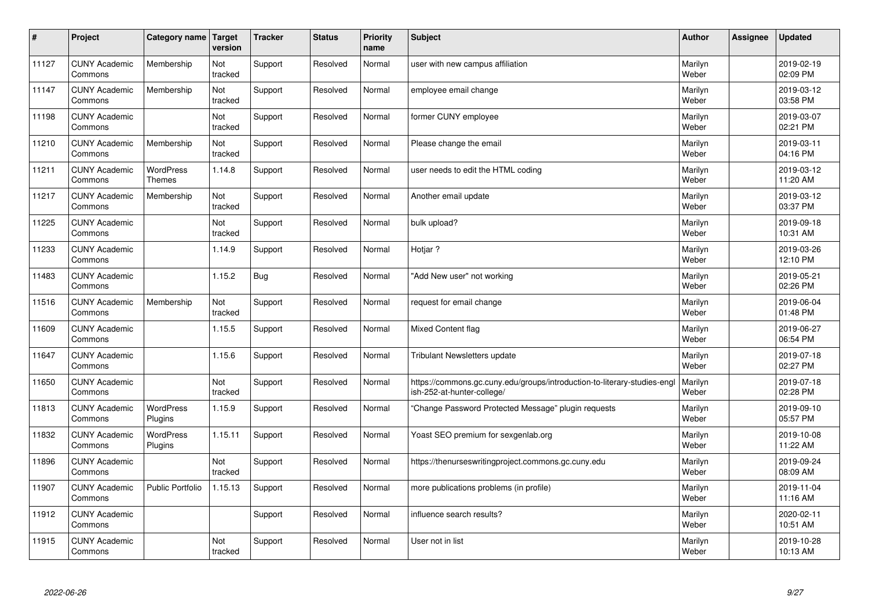| $\sharp$ | Project                         | Category name                     | Target<br>version | <b>Tracker</b> | <b>Status</b> | <b>Priority</b><br>name | <b>Subject</b>                                                                                         | <b>Author</b>    | Assignee | <b>Updated</b>         |
|----------|---------------------------------|-----------------------------------|-------------------|----------------|---------------|-------------------------|--------------------------------------------------------------------------------------------------------|------------------|----------|------------------------|
| 11127    | <b>CUNY Academic</b><br>Commons | Membership                        | Not<br>tracked    | Support        | Resolved      | Normal                  | user with new campus affiliation                                                                       | Marilyn<br>Weber |          | 2019-02-19<br>02:09 PM |
| 11147    | <b>CUNY Academic</b><br>Commons | Membership                        | Not<br>tracked    | Support        | Resolved      | Normal                  | employee email change                                                                                  | Marilyn<br>Weber |          | 2019-03-12<br>03:58 PM |
| 11198    | <b>CUNY Academic</b><br>Commons |                                   | Not<br>tracked    | Support        | Resolved      | Normal                  | former CUNY employee                                                                                   | Marilyn<br>Weber |          | 2019-03-07<br>02:21 PM |
| 11210    | <b>CUNY Academic</b><br>Commons | Membership                        | Not<br>tracked    | Support        | Resolved      | Normal                  | Please change the email                                                                                | Marilyn<br>Weber |          | 2019-03-11<br>04:16 PM |
| 11211    | <b>CUNY Academic</b><br>Commons | <b>WordPress</b><br><b>Themes</b> | 1.14.8            | Support        | Resolved      | Normal                  | user needs to edit the HTML coding                                                                     | Marilyn<br>Weber |          | 2019-03-12<br>11:20 AM |
| 11217    | <b>CUNY Academic</b><br>Commons | Membership                        | Not<br>tracked    | Support        | Resolved      | Normal                  | Another email update                                                                                   | Marilyn<br>Weber |          | 2019-03-12<br>03:37 PM |
| 11225    | <b>CUNY Academic</b><br>Commons |                                   | Not<br>tracked    | Support        | Resolved      | Normal                  | bulk upload?                                                                                           | Marilyn<br>Weber |          | 2019-09-18<br>10:31 AM |
| 11233    | <b>CUNY Academic</b><br>Commons |                                   | 1.14.9            | Support        | Resolved      | Normal                  | Hotiar?                                                                                                | Marilyn<br>Weber |          | 2019-03-26<br>12:10 PM |
| 11483    | <b>CUNY Academic</b><br>Commons |                                   | 1.15.2            | Bug            | Resolved      | Normal                  | "Add New user" not working                                                                             | Marilyn<br>Weber |          | 2019-05-21<br>02:26 PM |
| 11516    | <b>CUNY Academic</b><br>Commons | Membership                        | Not<br>tracked    | Support        | Resolved      | Normal                  | request for email change                                                                               | Marilyn<br>Weber |          | 2019-06-04<br>01:48 PM |
| 11609    | <b>CUNY Academic</b><br>Commons |                                   | 1.15.5            | Support        | Resolved      | Normal                  | Mixed Content flag                                                                                     | Marilyn<br>Weber |          | 2019-06-27<br>06:54 PM |
| 11647    | <b>CUNY Academic</b><br>Commons |                                   | 1.15.6            | Support        | Resolved      | Normal                  | <b>Tribulant Newsletters update</b>                                                                    | Marilyn<br>Weber |          | 2019-07-18<br>02:27 PM |
| 11650    | <b>CUNY Academic</b><br>Commons |                                   | Not<br>tracked    | Support        | Resolved      | Normal                  | https://commons.gc.cuny.edu/groups/introduction-to-literary-studies-engl<br>ish-252-at-hunter-college/ | Marilyn<br>Weber |          | 2019-07-18<br>02:28 PM |
| 11813    | <b>CUNY Academic</b><br>Commons | <b>WordPress</b><br>Plugins       | 1.15.9            | Support        | Resolved      | Normal                  | "Change Password Protected Message" plugin requests                                                    | Marilyn<br>Weber |          | 2019-09-10<br>05:57 PM |
| 11832    | <b>CUNY Academic</b><br>Commons | <b>WordPress</b><br>Plugins       | 1.15.11           | Support        | Resolved      | Normal                  | Yoast SEO premium for sexgenlab.org                                                                    | Marilyn<br>Weber |          | 2019-10-08<br>11:22 AM |
| 11896    | <b>CUNY Academic</b><br>Commons |                                   | Not<br>tracked    | Support        | Resolved      | Normal                  | https://thenurseswritingproject.commons.gc.cuny.edu                                                    | Marilyn<br>Weber |          | 2019-09-24<br>08:09 AM |
| 11907    | <b>CUNY Academic</b><br>Commons | <b>Public Portfolio</b>           | 1.15.13           | Support        | Resolved      | Normal                  | more publications problems (in profile)                                                                | Marilyn<br>Weber |          | 2019-11-04<br>11:16 AM |
| 11912    | <b>CUNY Academic</b><br>Commons |                                   |                   | Support        | Resolved      | Normal                  | influence search results?                                                                              | Marilyn<br>Weber |          | 2020-02-11<br>10:51 AM |
| 11915    | <b>CUNY Academic</b><br>Commons |                                   | Not<br>tracked    | Support        | Resolved      | Normal                  | User not in list                                                                                       | Marilyn<br>Weber |          | 2019-10-28<br>10:13 AM |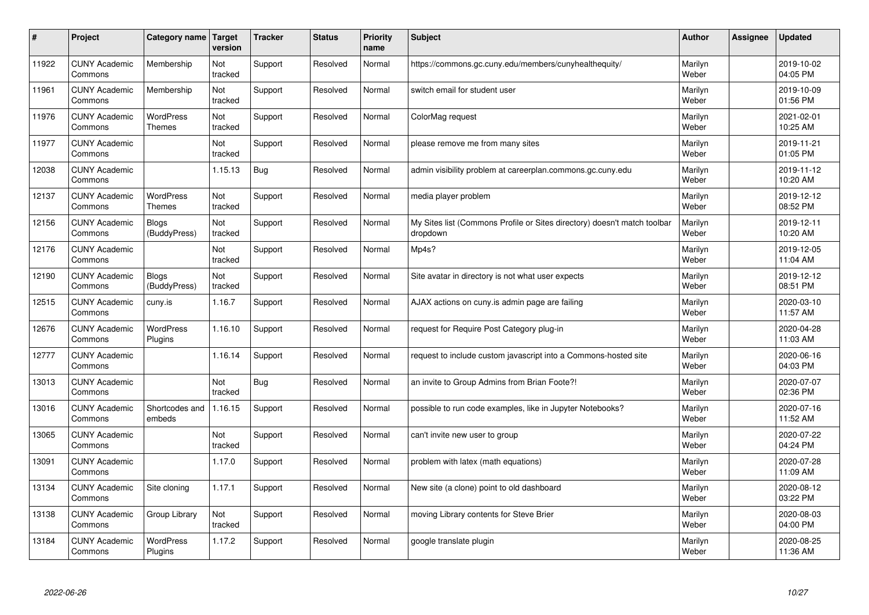| #     | Project                         | Category name                     | Target<br>version | <b>Tracker</b> | <b>Status</b> | <b>Priority</b><br>name | <b>Subject</b>                                                                       | <b>Author</b>    | Assignee | <b>Updated</b>         |
|-------|---------------------------------|-----------------------------------|-------------------|----------------|---------------|-------------------------|--------------------------------------------------------------------------------------|------------------|----------|------------------------|
| 11922 | <b>CUNY Academic</b><br>Commons | Membership                        | Not<br>tracked    | Support        | Resolved      | Normal                  | https://commons.gc.cuny.edu/members/cunyhealthequity/                                | Marilyn<br>Weber |          | 2019-10-02<br>04:05 PM |
| 11961 | <b>CUNY Academic</b><br>Commons | Membership                        | Not<br>tracked    | Support        | Resolved      | Normal                  | switch email for student user                                                        | Marilyn<br>Weber |          | 2019-10-09<br>01:56 PM |
| 11976 | <b>CUNY Academic</b><br>Commons | <b>WordPress</b><br><b>Themes</b> | Not<br>tracked    | Support        | Resolved      | Normal                  | ColorMag request                                                                     | Marilyn<br>Weber |          | 2021-02-01<br>10:25 AM |
| 11977 | <b>CUNY Academic</b><br>Commons |                                   | Not<br>tracked    | Support        | Resolved      | Normal                  | please remove me from many sites                                                     | Marilyn<br>Weber |          | 2019-11-21<br>01:05 PM |
| 12038 | <b>CUNY Academic</b><br>Commons |                                   | 1.15.13           | <b>Bug</b>     | Resolved      | Normal                  | admin visibility problem at careerplan.commons.gc.cuny.edu                           | Marilyn<br>Weber |          | 2019-11-12<br>10:20 AM |
| 12137 | <b>CUNY Academic</b><br>Commons | <b>WordPress</b><br><b>Themes</b> | Not<br>tracked    | Support        | Resolved      | Normal                  | media player problem                                                                 | Marilyn<br>Weber |          | 2019-12-12<br>08:52 PM |
| 12156 | <b>CUNY Academic</b><br>Commons | <b>Blogs</b><br>(BuddyPress)      | Not<br>tracked    | Support        | Resolved      | Normal                  | My Sites list (Commons Profile or Sites directory) doesn't match toolbar<br>dropdown | Marilyn<br>Weber |          | 2019-12-11<br>10:20 AM |
| 12176 | <b>CUNY Academic</b><br>Commons |                                   | Not<br>tracked    | Support        | Resolved      | Normal                  | Mp4s?                                                                                | Marilyn<br>Weber |          | 2019-12-05<br>11:04 AM |
| 12190 | <b>CUNY Academic</b><br>Commons | <b>Blogs</b><br>(BuddyPress)      | Not<br>tracked    | Support        | Resolved      | Normal                  | Site avatar in directory is not what user expects                                    | Marilyn<br>Weber |          | 2019-12-12<br>08:51 PM |
| 12515 | <b>CUNY Academic</b><br>Commons | cuny.is                           | 1.16.7            | Support        | Resolved      | Normal                  | AJAX actions on cuny is admin page are failing                                       | Marilyn<br>Weber |          | 2020-03-10<br>11:57 AM |
| 12676 | <b>CUNY Academic</b><br>Commons | <b>WordPress</b><br>Plugins       | 1.16.10           | Support        | Resolved      | Normal                  | request for Require Post Category plug-in                                            | Marilyn<br>Weber |          | 2020-04-28<br>11:03 AM |
| 12777 | <b>CUNY Academic</b><br>Commons |                                   | 1.16.14           | Support        | Resolved      | Normal                  | request to include custom javascript into a Commons-hosted site                      | Marilyn<br>Weber |          | 2020-06-16<br>04:03 PM |
| 13013 | <b>CUNY Academic</b><br>Commons |                                   | Not<br>tracked    | Bug            | Resolved      | Normal                  | an invite to Group Admins from Brian Foote?!                                         | Marilyn<br>Weber |          | 2020-07-07<br>02:36 PM |
| 13016 | <b>CUNY Academic</b><br>Commons | Shortcodes and<br>embeds          | 1.16.15           | Support        | Resolved      | Normal                  | possible to run code examples, like in Jupyter Notebooks?                            | Marilyn<br>Weber |          | 2020-07-16<br>11:52 AM |
| 13065 | <b>CUNY Academic</b><br>Commons |                                   | Not<br>tracked    | Support        | Resolved      | Normal                  | can't invite new user to group                                                       | Marilyn<br>Weber |          | 2020-07-22<br>04:24 PM |
| 13091 | <b>CUNY Academic</b><br>Commons |                                   | 1.17.0            | Support        | Resolved      | Normal                  | problem with latex (math equations)                                                  | Marilyn<br>Weber |          | 2020-07-28<br>11:09 AM |
| 13134 | <b>CUNY Academic</b><br>Commons | Site cloning                      | 1.17.1            | Support        | Resolved      | Normal                  | New site (a clone) point to old dashboard                                            | Marilyn<br>Weber |          | 2020-08-12<br>03:22 PM |
| 13138 | <b>CUNY Academic</b><br>Commons | Group Library                     | Not<br>tracked    | Support        | Resolved      | Normal                  | moving Library contents for Steve Brier                                              | Marilyn<br>Weber |          | 2020-08-03<br>04:00 PM |
| 13184 | <b>CUNY Academic</b><br>Commons | <b>WordPress</b><br>Plugins       | 1.17.2            | Support        | Resolved      | Normal                  | google translate plugin                                                              | Marilyn<br>Weber |          | 2020-08-25<br>11:36 AM |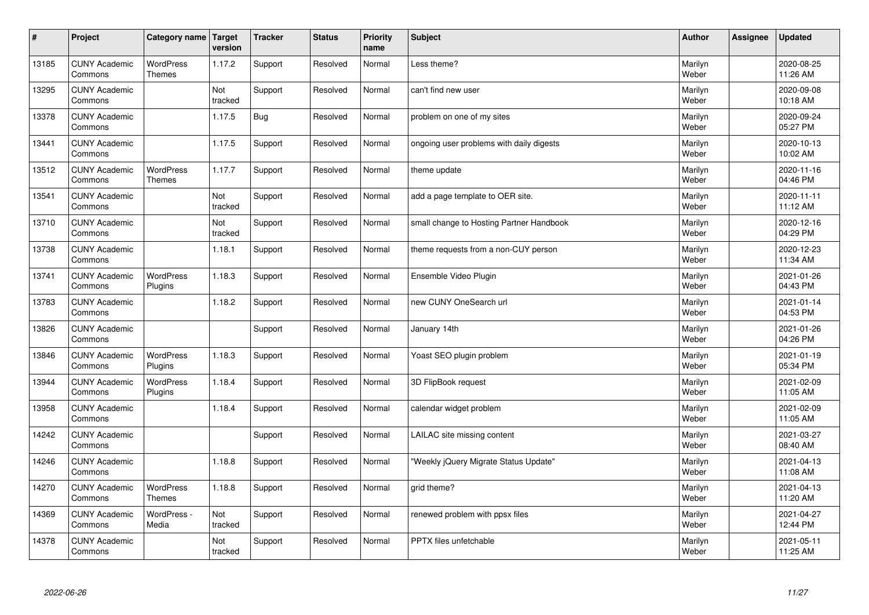| $\sharp$ | Project                         | Category name                     | Target<br>version | <b>Tracker</b> | <b>Status</b> | <b>Priority</b><br>name | <b>Subject</b>                           | <b>Author</b>    | Assignee | <b>Updated</b>         |
|----------|---------------------------------|-----------------------------------|-------------------|----------------|---------------|-------------------------|------------------------------------------|------------------|----------|------------------------|
| 13185    | <b>CUNY Academic</b><br>Commons | <b>WordPress</b><br>Themes        | 1.17.2            | Support        | Resolved      | Normal                  | Less theme?                              | Marilyn<br>Weber |          | 2020-08-25<br>11:26 AM |
| 13295    | <b>CUNY Academic</b><br>Commons |                                   | Not<br>tracked    | Support        | Resolved      | Normal                  | can't find new user                      | Marilyn<br>Weber |          | 2020-09-08<br>10:18 AM |
| 13378    | <b>CUNY Academic</b><br>Commons |                                   | 1.17.5            | <b>Bug</b>     | Resolved      | Normal                  | problem on one of my sites               | Marilyn<br>Weber |          | 2020-09-24<br>05:27 PM |
| 13441    | <b>CUNY Academic</b><br>Commons |                                   | 1.17.5            | Support        | Resolved      | Normal                  | ongoing user problems with daily digests | Marilyn<br>Weber |          | 2020-10-13<br>10:02 AM |
| 13512    | <b>CUNY Academic</b><br>Commons | <b>WordPress</b><br><b>Themes</b> | 1.17.7            | Support        | Resolved      | Normal                  | theme update                             | Marilyn<br>Weber |          | 2020-11-16<br>04:46 PM |
| 13541    | <b>CUNY Academic</b><br>Commons |                                   | Not<br>tracked    | Support        | Resolved      | Normal                  | add a page template to OER site.         | Marilyn<br>Weber |          | 2020-11-11<br>11:12 AM |
| 13710    | <b>CUNY Academic</b><br>Commons |                                   | Not<br>tracked    | Support        | Resolved      | Normal                  | small change to Hosting Partner Handbook | Marilyn<br>Weber |          | 2020-12-16<br>04:29 PM |
| 13738    | <b>CUNY Academic</b><br>Commons |                                   | 1.18.1            | Support        | Resolved      | Normal                  | theme requests from a non-CUY person     | Marilyn<br>Weber |          | 2020-12-23<br>11:34 AM |
| 13741    | <b>CUNY Academic</b><br>Commons | <b>WordPress</b><br>Plugins       | 1.18.3            | Support        | Resolved      | Normal                  | Ensemble Video Plugin                    | Marilyn<br>Weber |          | 2021-01-26<br>04:43 PM |
| 13783    | <b>CUNY Academic</b><br>Commons |                                   | 1.18.2            | Support        | Resolved      | Normal                  | new CUNY OneSearch url                   | Marilyn<br>Weber |          | 2021-01-14<br>04:53 PM |
| 13826    | <b>CUNY Academic</b><br>Commons |                                   |                   | Support        | Resolved      | Normal                  | January 14th                             | Marilyn<br>Weber |          | 2021-01-26<br>04:26 PM |
| 13846    | <b>CUNY Academic</b><br>Commons | <b>WordPress</b><br>Plugins       | 1.18.3            | Support        | Resolved      | Normal                  | Yoast SEO plugin problem                 | Marilyn<br>Weber |          | 2021-01-19<br>05:34 PM |
| 13944    | <b>CUNY Academic</b><br>Commons | <b>WordPress</b><br>Plugins       | 1.18.4            | Support        | Resolved      | Normal                  | 3D FlipBook request                      | Marilyn<br>Weber |          | 2021-02-09<br>11:05 AM |
| 13958    | <b>CUNY Academic</b><br>Commons |                                   | 1.18.4            | Support        | Resolved      | Normal                  | calendar widget problem                  | Marilyn<br>Weber |          | 2021-02-09<br>11:05 AM |
| 14242    | <b>CUNY Academic</b><br>Commons |                                   |                   | Support        | Resolved      | Normal                  | LAILAC site missing content              | Marilyn<br>Weber |          | 2021-03-27<br>08:40 AM |
| 14246    | <b>CUNY Academic</b><br>Commons |                                   | 1.18.8            | Support        | Resolved      | Normal                  | "Weekly jQuery Migrate Status Update"    | Marilyn<br>Weber |          | 2021-04-13<br>11:08 AM |
| 14270    | <b>CUNY Academic</b><br>Commons | WordPress<br>Themes               | 1.18.8            | Support        | Resolved      | Normal                  | grid theme?                              | Marilyn<br>Weber |          | 2021-04-13<br>11:20 AM |
| 14369    | <b>CUNY Academic</b><br>Commons | WordPress -<br>Media              | Not<br>tracked    | Support        | Resolved      | Normal                  | renewed problem with ppsx files          | Marilyn<br>Weber |          | 2021-04-27<br>12:44 PM |
| 14378    | <b>CUNY Academic</b><br>Commons |                                   | Not<br>tracked    | Support        | Resolved      | Normal                  | PPTX files unfetchable                   | Marilyn<br>Weber |          | 2021-05-11<br>11:25 AM |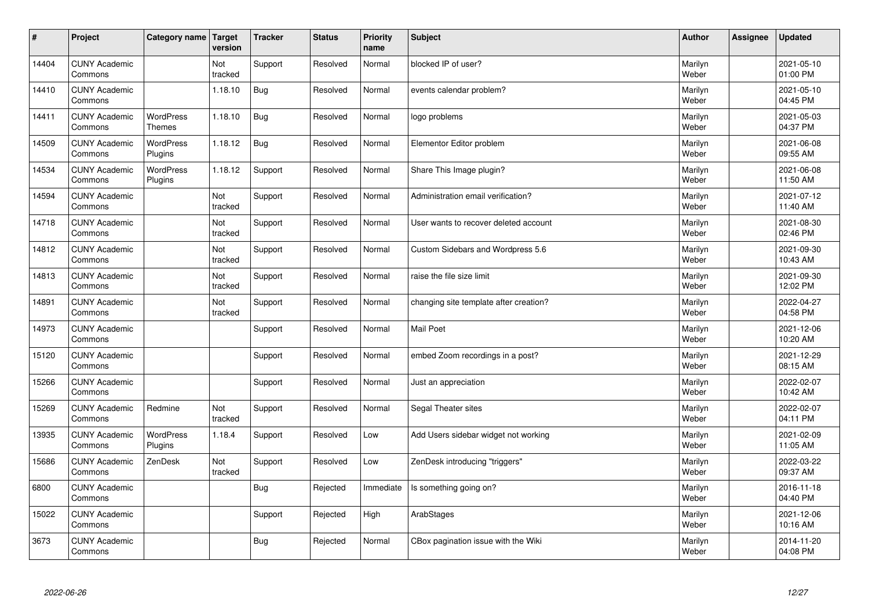| $\sharp$ | Project                         | Category name   Target            | version        | <b>Tracker</b> | <b>Status</b> | <b>Priority</b><br>name | <b>Subject</b>                         | <b>Author</b>    | Assignee | <b>Updated</b>         |
|----------|---------------------------------|-----------------------------------|----------------|----------------|---------------|-------------------------|----------------------------------------|------------------|----------|------------------------|
| 14404    | <b>CUNY Academic</b><br>Commons |                                   | Not<br>tracked | Support        | Resolved      | Normal                  | blocked IP of user?                    | Marilyn<br>Weber |          | 2021-05-10<br>01:00 PM |
| 14410    | <b>CUNY Academic</b><br>Commons |                                   | 1.18.10        | <b>Bug</b>     | Resolved      | Normal                  | events calendar problem?               | Marilyn<br>Weber |          | 2021-05-10<br>04:45 PM |
| 14411    | <b>CUNY Academic</b><br>Commons | <b>WordPress</b><br><b>Themes</b> | 1.18.10        | <b>Bug</b>     | Resolved      | Normal                  | logo problems                          | Marilyn<br>Weber |          | 2021-05-03<br>04:37 PM |
| 14509    | <b>CUNY Academic</b><br>Commons | <b>WordPress</b><br>Plugins       | 1.18.12        | <b>Bug</b>     | Resolved      | Normal                  | Elementor Editor problem               | Marilyn<br>Weber |          | 2021-06-08<br>09:55 AM |
| 14534    | <b>CUNY Academic</b><br>Commons | <b>WordPress</b><br>Plugins       | 1.18.12        | Support        | Resolved      | Normal                  | Share This Image plugin?               | Marilyn<br>Weber |          | 2021-06-08<br>11:50 AM |
| 14594    | <b>CUNY Academic</b><br>Commons |                                   | Not<br>tracked | Support        | Resolved      | Normal                  | Administration email verification?     | Marilyn<br>Weber |          | 2021-07-12<br>11:40 AM |
| 14718    | <b>CUNY Academic</b><br>Commons |                                   | Not<br>tracked | Support        | Resolved      | Normal                  | User wants to recover deleted account  | Marilyn<br>Weber |          | 2021-08-30<br>02:46 PM |
| 14812    | <b>CUNY Academic</b><br>Commons |                                   | Not<br>tracked | Support        | Resolved      | Normal                  | Custom Sidebars and Wordpress 5.6      | Marilyn<br>Weber |          | 2021-09-30<br>10:43 AM |
| 14813    | <b>CUNY Academic</b><br>Commons |                                   | Not<br>tracked | Support        | Resolved      | Normal                  | raise the file size limit              | Marilyn<br>Weber |          | 2021-09-30<br>12:02 PM |
| 14891    | <b>CUNY Academic</b><br>Commons |                                   | Not<br>tracked | Support        | Resolved      | Normal                  | changing site template after creation? | Marilyn<br>Weber |          | 2022-04-27<br>04:58 PM |
| 14973    | <b>CUNY Academic</b><br>Commons |                                   |                | Support        | Resolved      | Normal                  | Mail Poet                              | Marilyn<br>Weber |          | 2021-12-06<br>10:20 AM |
| 15120    | <b>CUNY Academic</b><br>Commons |                                   |                | Support        | Resolved      | Normal                  | embed Zoom recordings in a post?       | Marilyn<br>Weber |          | 2021-12-29<br>08:15 AM |
| 15266    | <b>CUNY Academic</b><br>Commons |                                   |                | Support        | Resolved      | Normal                  | Just an appreciation                   | Marilyn<br>Weber |          | 2022-02-07<br>10:42 AM |
| 15269    | <b>CUNY Academic</b><br>Commons | Redmine                           | Not<br>tracked | Support        | Resolved      | Normal                  | Segal Theater sites                    | Marilyn<br>Weber |          | 2022-02-07<br>04:11 PM |
| 13935    | <b>CUNY Academic</b><br>Commons | WordPress<br>Plugins              | 1.18.4         | Support        | Resolved      | Low                     | Add Users sidebar widget not working   | Marilyn<br>Weber |          | 2021-02-09<br>11:05 AM |
| 15686    | <b>CUNY Academic</b><br>Commons | ZenDesk                           | Not<br>tracked | Support        | Resolved      | Low                     | ZenDesk introducing "triggers"         | Marilyn<br>Weber |          | 2022-03-22<br>09:37 AM |
| 6800     | <b>CUNY Academic</b><br>Commons |                                   |                | <b>Bug</b>     | Rejected      | Immediate               | Is something going on?                 | Marilyn<br>Weber |          | 2016-11-18<br>04:40 PM |
| 15022    | <b>CUNY Academic</b><br>Commons |                                   |                | Support        | Rejected      | High                    | ArabStages                             | Marilyn<br>Weber |          | 2021-12-06<br>10:16 AM |
| 3673     | <b>CUNY Academic</b><br>Commons |                                   |                | Bug            | Rejected      | Normal                  | CBox pagination issue with the Wiki    | Marilyn<br>Weber |          | 2014-11-20<br>04:08 PM |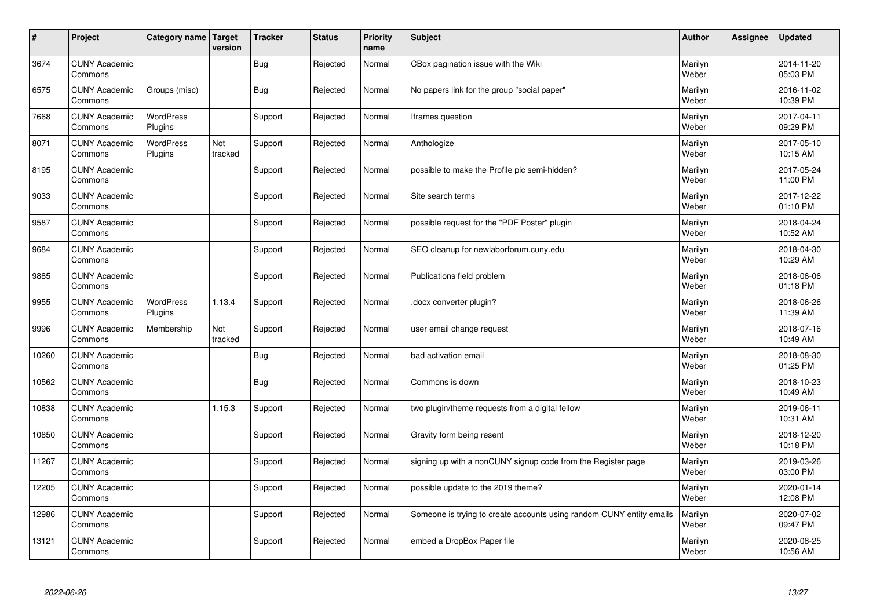| $\vert$ # | Project                         | Category name   Target      | version        | <b>Tracker</b> | <b>Status</b> | <b>Priority</b><br>name | <b>Subject</b>                                                       | <b>Author</b>    | Assignee | <b>Updated</b>         |
|-----------|---------------------------------|-----------------------------|----------------|----------------|---------------|-------------------------|----------------------------------------------------------------------|------------------|----------|------------------------|
| 3674      | <b>CUNY Academic</b><br>Commons |                             |                | Bug            | Rejected      | Normal                  | CBox pagination issue with the Wiki                                  | Marilyn<br>Weber |          | 2014-11-20<br>05:03 PM |
| 6575      | <b>CUNY Academic</b><br>Commons | Groups (misc)               |                | Bug            | Rejected      | Normal                  | No papers link for the group "social paper"                          | Marilyn<br>Weber |          | 2016-11-02<br>10:39 PM |
| 7668      | <b>CUNY Academic</b><br>Commons | <b>WordPress</b><br>Plugins |                | Support        | Rejected      | Normal                  | Iframes question                                                     | Marilyn<br>Weber |          | 2017-04-11<br>09:29 PM |
| 8071      | <b>CUNY Academic</b><br>Commons | <b>WordPress</b><br>Plugins | Not<br>tracked | Support        | Rejected      | Normal                  | Anthologize                                                          | Marilyn<br>Weber |          | 2017-05-10<br>10:15 AM |
| 8195      | <b>CUNY Academic</b><br>Commons |                             |                | Support        | Rejected      | Normal                  | possible to make the Profile pic semi-hidden?                        | Marilyn<br>Weber |          | 2017-05-24<br>11:00 PM |
| 9033      | <b>CUNY Academic</b><br>Commons |                             |                | Support        | Rejected      | Normal                  | Site search terms                                                    | Marilyn<br>Weber |          | 2017-12-22<br>01:10 PM |
| 9587      | <b>CUNY Academic</b><br>Commons |                             |                | Support        | Rejected      | Normal                  | possible request for the "PDF Poster" plugin                         | Marilyn<br>Weber |          | 2018-04-24<br>10:52 AM |
| 9684      | <b>CUNY Academic</b><br>Commons |                             |                | Support        | Rejected      | Normal                  | SEO cleanup for newlaborforum.cuny.edu                               | Marilyn<br>Weber |          | 2018-04-30<br>10:29 AM |
| 9885      | <b>CUNY Academic</b><br>Commons |                             |                | Support        | Rejected      | Normal                  | Publications field problem                                           | Marilyn<br>Weber |          | 2018-06-06<br>01:18 PM |
| 9955      | <b>CUNY Academic</b><br>Commons | <b>WordPress</b><br>Plugins | 1.13.4         | Support        | Rejected      | Normal                  | docx converter plugin?                                               | Marilyn<br>Weber |          | 2018-06-26<br>11:39 AM |
| 9996      | <b>CUNY Academic</b><br>Commons | Membership                  | Not<br>tracked | Support        | Rejected      | Normal                  | user email change request                                            | Marilyn<br>Weber |          | 2018-07-16<br>10:49 AM |
| 10260     | <b>CUNY Academic</b><br>Commons |                             |                | <b>Bug</b>     | Rejected      | Normal                  | bad activation email                                                 | Marilyn<br>Weber |          | 2018-08-30<br>01:25 PM |
| 10562     | <b>CUNY Academic</b><br>Commons |                             |                | Bug            | Rejected      | Normal                  | Commons is down                                                      | Marilyn<br>Weber |          | 2018-10-23<br>10:49 AM |
| 10838     | <b>CUNY Academic</b><br>Commons |                             | 1.15.3         | Support        | Rejected      | Normal                  | two plugin/theme requests from a digital fellow                      | Marilyn<br>Weber |          | 2019-06-11<br>10:31 AM |
| 10850     | <b>CUNY Academic</b><br>Commons |                             |                | Support        | Rejected      | Normal                  | Gravity form being resent                                            | Marilyn<br>Weber |          | 2018-12-20<br>10:18 PM |
| 11267     | <b>CUNY Academic</b><br>Commons |                             |                | Support        | Rejected      | Normal                  | signing up with a nonCUNY signup code from the Register page         | Marilyn<br>Weber |          | 2019-03-26<br>03:00 PM |
| 12205     | <b>CUNY Academic</b><br>Commons |                             |                | Support        | Rejected      | Normal                  | possible update to the 2019 theme?                                   | Marilyn<br>Weber |          | 2020-01-14<br>12:08 PM |
| 12986     | <b>CUNY Academic</b><br>Commons |                             |                | Support        | Rejected      | Normal                  | Someone is trying to create accounts using random CUNY entity emails | Marilyn<br>Weber |          | 2020-07-02<br>09:47 PM |
| 13121     | <b>CUNY Academic</b><br>Commons |                             |                | Support        | Rejected      | Normal                  | embed a DropBox Paper file                                           | Marilyn<br>Weber |          | 2020-08-25<br>10:56 AM |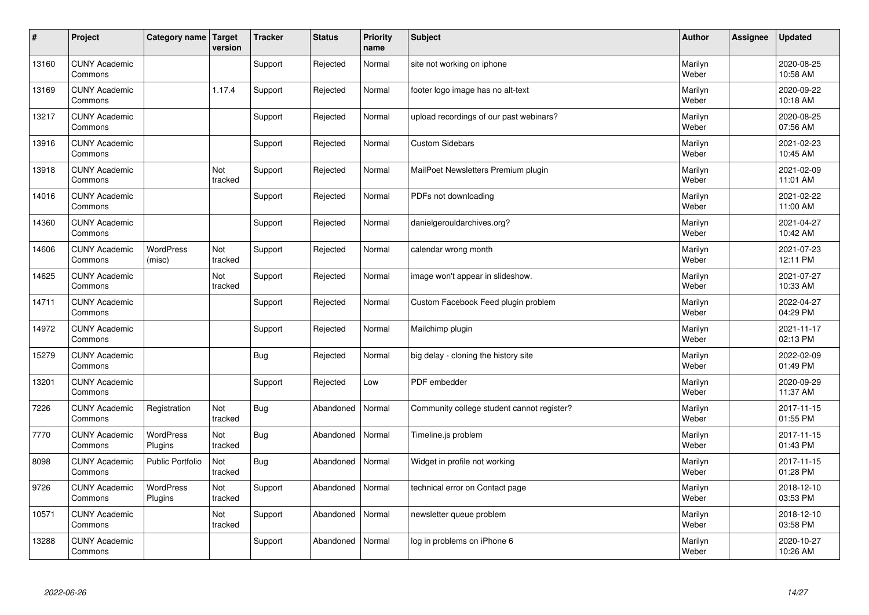| $\sharp$ | Project                         | Category name   Target      | version        | <b>Tracker</b> | <b>Status</b> | <b>Priority</b><br>name | <b>Subject</b>                             | <b>Author</b>    | Assignee | <b>Updated</b>         |
|----------|---------------------------------|-----------------------------|----------------|----------------|---------------|-------------------------|--------------------------------------------|------------------|----------|------------------------|
| 13160    | <b>CUNY Academic</b><br>Commons |                             |                | Support        | Rejected      | Normal                  | site not working on iphone                 | Marilyn<br>Weber |          | 2020-08-25<br>10:58 AM |
| 13169    | <b>CUNY Academic</b><br>Commons |                             | 1.17.4         | Support        | Rejected      | Normal                  | footer logo image has no alt-text          | Marilyn<br>Weber |          | 2020-09-22<br>10:18 AM |
| 13217    | <b>CUNY Academic</b><br>Commons |                             |                | Support        | Rejected      | Normal                  | upload recordings of our past webinars?    | Marilyn<br>Weber |          | 2020-08-25<br>07:56 AM |
| 13916    | <b>CUNY Academic</b><br>Commons |                             |                | Support        | Rejected      | Normal                  | <b>Custom Sidebars</b>                     | Marilyn<br>Weber |          | 2021-02-23<br>10:45 AM |
| 13918    | <b>CUNY Academic</b><br>Commons |                             | Not<br>tracked | Support        | Rejected      | Normal                  | MailPoet Newsletters Premium plugin        | Marilyn<br>Weber |          | 2021-02-09<br>11:01 AM |
| 14016    | <b>CUNY Academic</b><br>Commons |                             |                | Support        | Rejected      | Normal                  | PDFs not downloading                       | Marilyn<br>Weber |          | 2021-02-22<br>11:00 AM |
| 14360    | <b>CUNY Academic</b><br>Commons |                             |                | Support        | Rejected      | Normal                  | danielgerouldarchives.org?                 | Marilyn<br>Weber |          | 2021-04-27<br>10:42 AM |
| 14606    | <b>CUNY Academic</b><br>Commons | <b>WordPress</b><br>(misc)  | Not<br>tracked | Support        | Rejected      | Normal                  | calendar wrong month                       | Marilyn<br>Weber |          | 2021-07-23<br>12:11 PM |
| 14625    | <b>CUNY Academic</b><br>Commons |                             | Not<br>tracked | Support        | Rejected      | Normal                  | image won't appear in slideshow.           | Marilyn<br>Weber |          | 2021-07-27<br>10:33 AM |
| 14711    | <b>CUNY Academic</b><br>Commons |                             |                | Support        | Rejected      | Normal                  | Custom Facebook Feed plugin problem        | Marilyn<br>Weber |          | 2022-04-27<br>04:29 PM |
| 14972    | <b>CUNY Academic</b><br>Commons |                             |                | Support        | Rejected      | Normal                  | Mailchimp plugin                           | Marilyn<br>Weber |          | 2021-11-17<br>02:13 PM |
| 15279    | <b>CUNY Academic</b><br>Commons |                             |                | <b>Bug</b>     | Rejected      | Normal                  | big delay - cloning the history site       | Marilyn<br>Weber |          | 2022-02-09<br>01:49 PM |
| 13201    | <b>CUNY Academic</b><br>Commons |                             |                | Support        | Rejected      | Low                     | PDF embedder                               | Marilyn<br>Weber |          | 2020-09-29<br>11:37 AM |
| 7226     | <b>CUNY Academic</b><br>Commons | Registration                | Not<br>tracked | <b>Bug</b>     | Abandoned     | Normal                  | Community college student cannot register? | Marilyn<br>Weber |          | 2017-11-15<br>01:55 PM |
| 7770     | <b>CUNY Academic</b><br>Commons | <b>WordPress</b><br>Plugins | Not<br>tracked | <b>Bug</b>     | Abandoned     | Normal                  | Timeline.js problem                        | Marilyn<br>Weber |          | 2017-11-15<br>01:43 PM |
| 8098     | <b>CUNY Academic</b><br>Commons | <b>Public Portfolio</b>     | Not<br>tracked | <b>Bug</b>     | Abandoned     | Normal                  | Widget in profile not working              | Marilyn<br>Weber |          | 2017-11-15<br>01:28 PM |
| 9726     | <b>CUNY Academic</b><br>Commons | <b>WordPress</b><br>Plugins | Not<br>tracked | Support        | Abandoned     | Normal                  | technical error on Contact page            | Marilyn<br>Weber |          | 2018-12-10<br>03:53 PM |
| 10571    | <b>CUNY Academic</b><br>Commons |                             | Not<br>tracked | Support        | Abandoned     | Normal                  | newsletter queue problem                   | Marilyn<br>Weber |          | 2018-12-10<br>03:58 PM |
| 13288    | <b>CUNY Academic</b><br>Commons |                             |                | Support        | Abandoned     | Normal                  | log in problems on iPhone 6                | Marilyn<br>Weber |          | 2020-10-27<br>10:26 AM |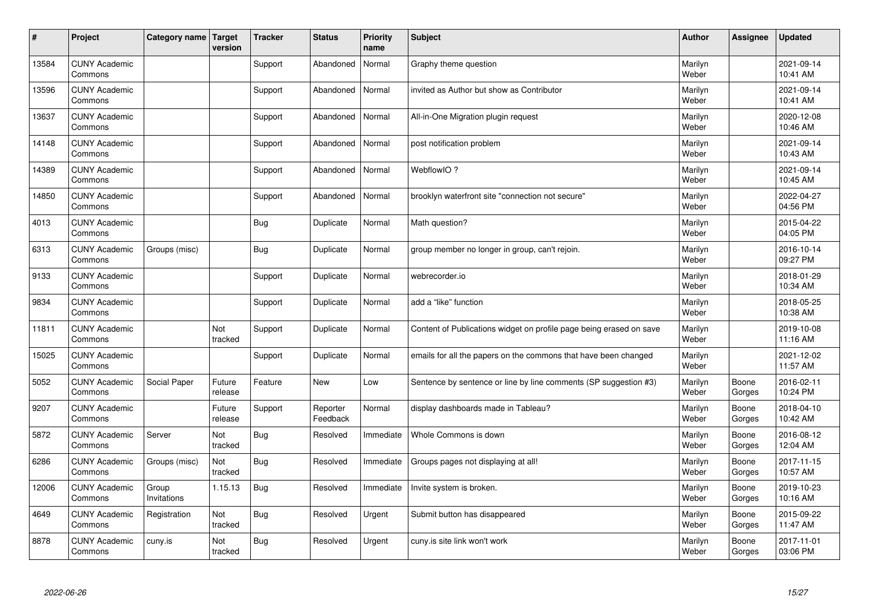| #     | Project                         | Category name   Target | version           | <b>Tracker</b> | <b>Status</b>        | <b>Priority</b><br>name | <b>Subject</b>                                                      | <b>Author</b>    | Assignee        | <b>Updated</b>         |
|-------|---------------------------------|------------------------|-------------------|----------------|----------------------|-------------------------|---------------------------------------------------------------------|------------------|-----------------|------------------------|
| 13584 | <b>CUNY Academic</b><br>Commons |                        |                   | Support        | Abandoned            | Normal                  | Graphy theme question                                               | Marilyn<br>Weber |                 | 2021-09-14<br>10:41 AM |
| 13596 | <b>CUNY Academic</b><br>Commons |                        |                   | Support        | Abandoned            | Normal                  | invited as Author but show as Contributor                           | Marilyn<br>Weber |                 | 2021-09-14<br>10:41 AM |
| 13637 | <b>CUNY Academic</b><br>Commons |                        |                   | Support        | Abandoned            | Normal                  | All-in-One Migration plugin request                                 | Marilyn<br>Weber |                 | 2020-12-08<br>10:46 AM |
| 14148 | <b>CUNY Academic</b><br>Commons |                        |                   | Support        | Abandoned            | Normal                  | post notification problem                                           | Marilyn<br>Weber |                 | 2021-09-14<br>10:43 AM |
| 14389 | <b>CUNY Academic</b><br>Commons |                        |                   | Support        | Abandoned            | Normal                  | WebflowIO?                                                          | Marilyn<br>Weber |                 | 2021-09-14<br>10:45 AM |
| 14850 | <b>CUNY Academic</b><br>Commons |                        |                   | Support        | Abandoned            | Normal                  | brooklyn waterfront site "connection not secure"                    | Marilyn<br>Weber |                 | 2022-04-27<br>04:56 PM |
| 4013  | <b>CUNY Academic</b><br>Commons |                        |                   | <b>Bug</b>     | Duplicate            | Normal                  | Math question?                                                      | Marilyn<br>Weber |                 | 2015-04-22<br>04:05 PM |
| 6313  | <b>CUNY Academic</b><br>Commons | Groups (misc)          |                   | <b>Bug</b>     | Duplicate            | Normal                  | group member no longer in group, can't rejoin.                      | Marilyn<br>Weber |                 | 2016-10-14<br>09:27 PM |
| 9133  | <b>CUNY Academic</b><br>Commons |                        |                   | Support        | Duplicate            | Normal                  | webrecorder.io                                                      | Marilyn<br>Weber |                 | 2018-01-29<br>10:34 AM |
| 9834  | <b>CUNY Academic</b><br>Commons |                        |                   | Support        | Duplicate            | Normal                  | add a "like" function                                               | Marilyn<br>Weber |                 | 2018-05-25<br>10:38 AM |
| 11811 | <b>CUNY Academic</b><br>Commons |                        | Not<br>tracked    | Support        | Duplicate            | Normal                  | Content of Publications widget on profile page being erased on save | Marilyn<br>Weber |                 | 2019-10-08<br>11:16 AM |
| 15025 | <b>CUNY Academic</b><br>Commons |                        |                   | Support        | Duplicate            | Normal                  | emails for all the papers on the commons that have been changed     | Marilyn<br>Weber |                 | 2021-12-02<br>11:57 AM |
| 5052  | <b>CUNY Academic</b><br>Commons | Social Paper           | Future<br>release | Feature        | <b>New</b>           | Low                     | Sentence by sentence or line by line comments (SP suggestion #3)    | Marilyn<br>Weber | Boone<br>Gorges | 2016-02-11<br>10:24 PM |
| 9207  | <b>CUNY Academic</b><br>Commons |                        | Future<br>release | Support        | Reporter<br>Feedback | Normal                  | display dashboards made in Tableau?                                 | Marilyn<br>Weber | Boone<br>Gorges | 2018-04-10<br>10:42 AM |
| 5872  | <b>CUNY Academic</b><br>Commons | Server                 | Not<br>tracked    | <b>Bug</b>     | Resolved             | Immediate               | Whole Commons is down                                               | Marilyn<br>Weber | Boone<br>Gorges | 2016-08-12<br>12:04 AM |
| 6286  | <b>CUNY Academic</b><br>Commons | Groups (misc)          | Not<br>tracked    | <b>Bug</b>     | Resolved             | Immediate               | Groups pages not displaying at all!                                 | Marilyn<br>Weber | Boone<br>Gorges | 2017-11-15<br>10:57 AM |
| 12006 | <b>CUNY Academic</b><br>Commons | Group<br>Invitations   | 1.15.13           | Bug            | Resolved             | Immediate               | Invite system is broken.                                            | Marilyn<br>Weber | Boone<br>Gorges | 2019-10-23<br>10:16 AM |
| 4649  | <b>CUNY Academic</b><br>Commons | Registration           | Not<br>tracked    | Bug            | Resolved             | Urgent                  | Submit button has disappeared                                       | Marilyn<br>Weber | Boone<br>Gorges | 2015-09-22<br>11:47 AM |
| 8878  | <b>CUNY Academic</b><br>Commons | cuny.is                | Not<br>tracked    | <b>Bug</b>     | Resolved             | Urgent                  | cuny is site link won't work                                        | Marilyn<br>Weber | Boone<br>Gorges | 2017-11-01<br>03:06 PM |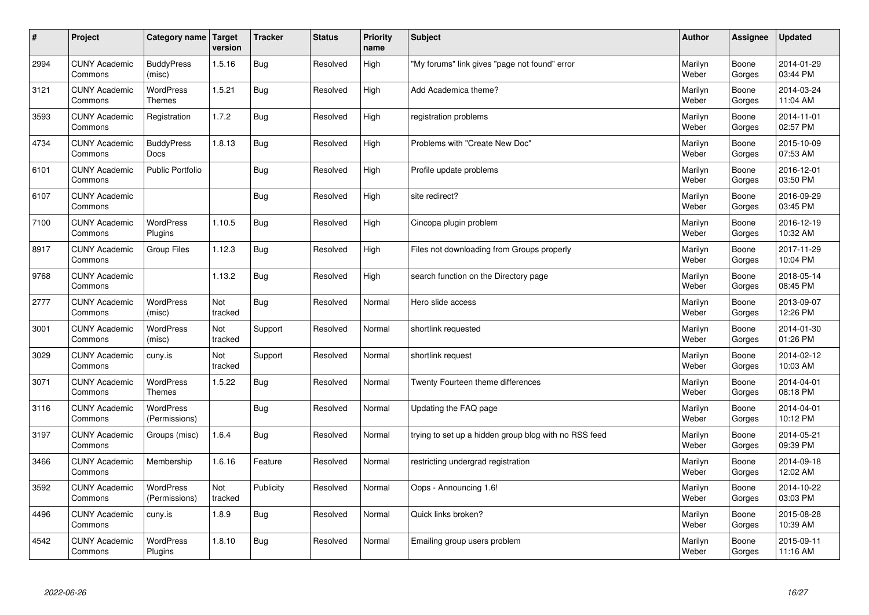| $\sharp$ | Project                         | Category name   Target            | version               | <b>Tracker</b> | <b>Status</b> | <b>Priority</b><br>name | <b>Subject</b>                                        | <b>Author</b>    | Assignee        | <b>Updated</b>         |
|----------|---------------------------------|-----------------------------------|-----------------------|----------------|---------------|-------------------------|-------------------------------------------------------|------------------|-----------------|------------------------|
| 2994     | <b>CUNY Academic</b><br>Commons | <b>BuddyPress</b><br>(misc)       | 1.5.16                | Bug            | Resolved      | High                    | "My forums" link gives "page not found" error         | Marilyn<br>Weber | Boone<br>Gorges | 2014-01-29<br>03:44 PM |
| 3121     | <b>CUNY Academic</b><br>Commons | <b>WordPress</b><br><b>Themes</b> | 1.5.21                | Bug            | Resolved      | High                    | Add Academica theme?                                  | Marilyn<br>Weber | Boone<br>Gorges | 2014-03-24<br>11:04 AM |
| 3593     | <b>CUNY Academic</b><br>Commons | Registration                      | 1.7.2                 | <b>Bug</b>     | Resolved      | High                    | registration problems                                 | Marilyn<br>Weber | Boone<br>Gorges | 2014-11-01<br>02:57 PM |
| 4734     | <b>CUNY Academic</b><br>Commons | <b>BuddyPress</b><br><b>Docs</b>  | 1.8.13                | Bug            | Resolved      | High                    | Problems with "Create New Doc"                        | Marilyn<br>Weber | Boone<br>Gorges | 2015-10-09<br>07:53 AM |
| 6101     | <b>CUNY Academic</b><br>Commons | <b>Public Portfolio</b>           |                       | Bug            | Resolved      | High                    | Profile update problems                               | Marilyn<br>Weber | Boone<br>Gorges | 2016-12-01<br>03:50 PM |
| 6107     | <b>CUNY Academic</b><br>Commons |                                   |                       | Bug            | Resolved      | High                    | site redirect?                                        | Marilyn<br>Weber | Boone<br>Gorges | 2016-09-29<br>03:45 PM |
| 7100     | <b>CUNY Academic</b><br>Commons | <b>WordPress</b><br>Plugins       | 1.10.5                | Bug            | Resolved      | High                    | Cincopa plugin problem                                | Marilyn<br>Weber | Boone<br>Gorges | 2016-12-19<br>10:32 AM |
| 8917     | <b>CUNY Academic</b><br>Commons | Group Files                       | 1.12.3                | Bug            | Resolved      | High                    | Files not downloading from Groups properly            | Marilyn<br>Weber | Boone<br>Gorges | 2017-11-29<br>10:04 PM |
| 9768     | <b>CUNY Academic</b><br>Commons |                                   | 1.13.2                | Bug            | Resolved      | High                    | search function on the Directory page                 | Marilyn<br>Weber | Boone<br>Gorges | 2018-05-14<br>08:45 PM |
| 2777     | <b>CUNY Academic</b><br>Commons | <b>WordPress</b><br>(misc)        | Not<br>tracked        | <b>Bug</b>     | Resolved      | Normal                  | Hero slide access                                     | Marilyn<br>Weber | Boone<br>Gorges | 2013-09-07<br>12:26 PM |
| 3001     | <b>CUNY Academic</b><br>Commons | <b>WordPress</b><br>(misc)        | Not<br>tracked        | Support        | Resolved      | Normal                  | shortlink requested                                   | Marilyn<br>Weber | Boone<br>Gorges | 2014-01-30<br>01:26 PM |
| 3029     | <b>CUNY Academic</b><br>Commons | cuny.is                           | Not<br>tracked        | Support        | Resolved      | Normal                  | shortlink request                                     | Marilyn<br>Weber | Boone<br>Gorges | 2014-02-12<br>10:03 AM |
| 3071     | <b>CUNY Academic</b><br>Commons | WordPress<br>Themes               | 1.5.22                | <b>Bug</b>     | Resolved      | Normal                  | Twenty Fourteen theme differences                     | Marilyn<br>Weber | Boone<br>Gorges | 2014-04-01<br>08:18 PM |
| 3116     | <b>CUNY Academic</b><br>Commons | <b>WordPress</b><br>(Permissions) |                       | Bug            | Resolved      | Normal                  | Updating the FAQ page                                 | Marilyn<br>Weber | Boone<br>Gorges | 2014-04-01<br>10:12 PM |
| 3197     | <b>CUNY Academic</b><br>Commons | Groups (misc)                     | 1.6.4                 | Bug            | Resolved      | Normal                  | trying to set up a hidden group blog with no RSS feed | Marilyn<br>Weber | Boone<br>Gorges | 2014-05-21<br>09:39 PM |
| 3466     | <b>CUNY Academic</b><br>Commons | Membership                        | 1.6.16                | Feature        | Resolved      | Normal                  | restricting undergrad registration                    | Marilyn<br>Weber | Boone<br>Gorges | 2014-09-18<br>12:02 AM |
| 3592     | <b>CUNY Academic</b><br>Commons | <b>WordPress</b><br>(Permissions) | <b>Not</b><br>tracked | Publicity      | Resolved      | Normal                  | Oops - Announcing 1.6!                                | Marilyn<br>Weber | Boone<br>Gorges | 2014-10-22<br>03:03 PM |
| 4496     | <b>CUNY Academic</b><br>Commons | cuny.is                           | 1.8.9                 | <b>Bug</b>     | Resolved      | Normal                  | Quick links broken?                                   | Marilyn<br>Weber | Boone<br>Gorges | 2015-08-28<br>10:39 AM |
| 4542     | <b>CUNY Academic</b><br>Commons | <b>WordPress</b><br>Plugins       | 1.8.10                | <b>Bug</b>     | Resolved      | Normal                  | Emailing group users problem                          | Marilyn<br>Weber | Boone<br>Gorges | 2015-09-11<br>11:16 AM |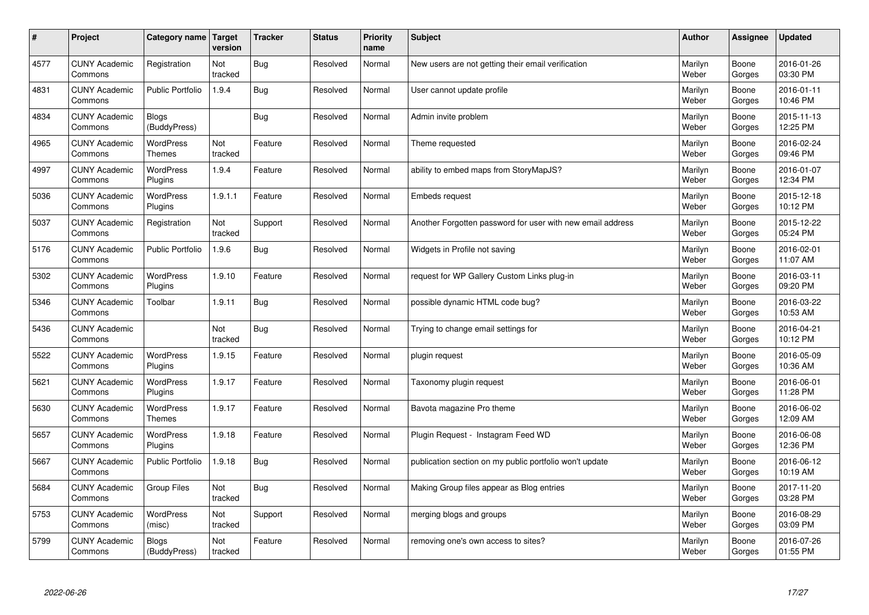| $\sharp$ | Project                         | Category name   Target            | version        | <b>Tracker</b> | <b>Status</b> | <b>Priority</b><br>name | <b>Subject</b>                                             | <b>Author</b>    | Assignee        | <b>Updated</b>         |
|----------|---------------------------------|-----------------------------------|----------------|----------------|---------------|-------------------------|------------------------------------------------------------|------------------|-----------------|------------------------|
| 4577     | <b>CUNY Academic</b><br>Commons | Registration                      | Not<br>tracked | Bug            | Resolved      | Normal                  | New users are not getting their email verification         | Marilyn<br>Weber | Boone<br>Gorges | 2016-01-26<br>03:30 PM |
| 4831     | <b>CUNY Academic</b><br>Commons | <b>Public Portfolio</b>           | 1.9.4          | Bug            | Resolved      | Normal                  | User cannot update profile                                 | Marilyn<br>Weber | Boone<br>Gorges | 2016-01-11<br>10:46 PM |
| 4834     | <b>CUNY Academic</b><br>Commons | Blogs<br>(BuddyPress)             |                | <b>Bug</b>     | Resolved      | Normal                  | Admin invite problem                                       | Marilyn<br>Weber | Boone<br>Gorges | 2015-11-13<br>12:25 PM |
| 4965     | <b>CUNY Academic</b><br>Commons | <b>WordPress</b><br><b>Themes</b> | Not<br>tracked | Feature        | Resolved      | Normal                  | Theme requested                                            | Marilyn<br>Weber | Boone<br>Gorges | 2016-02-24<br>09:46 PM |
| 4997     | <b>CUNY Academic</b><br>Commons | <b>WordPress</b><br>Plugins       | 1.9.4          | Feature        | Resolved      | Normal                  | ability to embed maps from StoryMapJS?                     | Marilyn<br>Weber | Boone<br>Gorges | 2016-01-07<br>12:34 PM |
| 5036     | <b>CUNY Academic</b><br>Commons | WordPress<br>Plugins              | 1.9.1.1        | Feature        | Resolved      | Normal                  | <b>Embeds request</b>                                      | Marilyn<br>Weber | Boone<br>Gorges | 2015-12-18<br>10:12 PM |
| 5037     | <b>CUNY Academic</b><br>Commons | Registration                      | Not<br>tracked | Support        | Resolved      | Normal                  | Another Forgotten password for user with new email address | Marilyn<br>Weber | Boone<br>Gorges | 2015-12-22<br>05:24 PM |
| 5176     | <b>CUNY Academic</b><br>Commons | <b>Public Portfolio</b>           | 1.9.6          | Bug            | Resolved      | Normal                  | Widgets in Profile not saving                              | Marilyn<br>Weber | Boone<br>Gorges | 2016-02-01<br>11:07 AM |
| 5302     | <b>CUNY Academic</b><br>Commons | <b>WordPress</b><br>Plugins       | 1.9.10         | Feature        | Resolved      | Normal                  | request for WP Gallery Custom Links plug-in                | Marilyn<br>Weber | Boone<br>Gorges | 2016-03-11<br>09:20 PM |
| 5346     | <b>CUNY Academic</b><br>Commons | Toolbar                           | 1.9.11         | Bug            | Resolved      | Normal                  | possible dynamic HTML code bug?                            | Marilyn<br>Weber | Boone<br>Gorges | 2016-03-22<br>10:53 AM |
| 5436     | <b>CUNY Academic</b><br>Commons |                                   | Not<br>tracked | Bug            | Resolved      | Normal                  | Trying to change email settings for                        | Marilyn<br>Weber | Boone<br>Gorges | 2016-04-21<br>10:12 PM |
| 5522     | <b>CUNY Academic</b><br>Commons | <b>WordPress</b><br>Plugins       | 1.9.15         | Feature        | Resolved      | Normal                  | plugin request                                             | Marilyn<br>Weber | Boone<br>Gorges | 2016-05-09<br>10:36 AM |
| 5621     | <b>CUNY Academic</b><br>Commons | <b>WordPress</b><br>Plugins       | 1.9.17         | Feature        | Resolved      | Normal                  | Taxonomy plugin request                                    | Marilyn<br>Weber | Boone<br>Gorges | 2016-06-01<br>11:28 PM |
| 5630     | <b>CUNY Academic</b><br>Commons | <b>WordPress</b><br><b>Themes</b> | 1.9.17         | Feature        | Resolved      | Normal                  | Bavota magazine Pro theme                                  | Marilyn<br>Weber | Boone<br>Gorges | 2016-06-02<br>12:09 AM |
| 5657     | <b>CUNY Academic</b><br>Commons | <b>WordPress</b><br>Plugins       | 1.9.18         | Feature        | Resolved      | Normal                  | Plugin Request - Instagram Feed WD                         | Marilyn<br>Weber | Boone<br>Gorges | 2016-06-08<br>12:36 PM |
| 5667     | <b>CUNY Academic</b><br>Commons | <b>Public Portfolio</b>           | 1.9.18         | Bug            | Resolved      | Normal                  | publication section on my public portfolio won't update    | Marilyn<br>Weber | Boone<br>Gorges | 2016-06-12<br>10:19 AM |
| 5684     | <b>CUNY Academic</b><br>Commons | Group Files                       | Not<br>tracked | Bug            | Resolved      | Normal                  | Making Group files appear as Blog entries                  | Marilyn<br>Weber | Boone<br>Gorges | 2017-11-20<br>03:28 PM |
| 5753     | <b>CUNY Academic</b><br>Commons | WordPress<br>(misc)               | Not<br>tracked | Support        | Resolved      | Normal                  | merging blogs and groups                                   | Marilyn<br>Weber | Boone<br>Gorges | 2016-08-29<br>03:09 PM |
| 5799     | <b>CUNY Academic</b><br>Commons | Blogs<br>(BuddyPress)             | Not<br>tracked | Feature        | Resolved      | Normal                  | removing one's own access to sites?                        | Marilyn<br>Weber | Boone<br>Gorges | 2016-07-26<br>01:55 PM |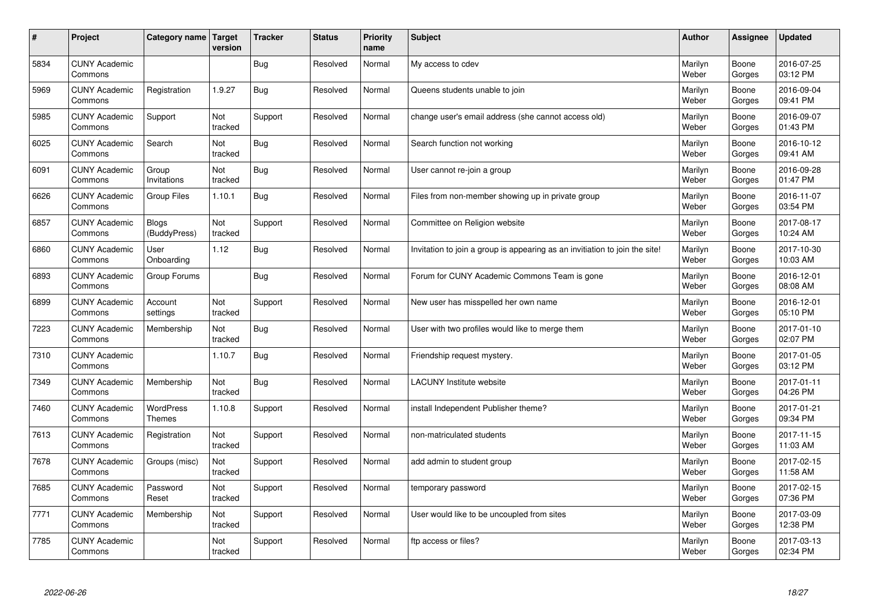| $\sharp$ | Project                         | Category name   Target       | version        | <b>Tracker</b> | <b>Status</b> | <b>Priority</b><br>name | <b>Subject</b>                                                              | <b>Author</b>    | Assignee        | <b>Updated</b>         |
|----------|---------------------------------|------------------------------|----------------|----------------|---------------|-------------------------|-----------------------------------------------------------------------------|------------------|-----------------|------------------------|
| 5834     | <b>CUNY Academic</b><br>Commons |                              |                | Bug            | Resolved      | Normal                  | My access to cdev                                                           | Marilyn<br>Weber | Boone<br>Gorges | 2016-07-25<br>03:12 PM |
| 5969     | <b>CUNY Academic</b><br>Commons | Registration                 | 1.9.27         | <b>Bug</b>     | Resolved      | Normal                  | Queens students unable to join                                              | Marilyn<br>Weber | Boone<br>Gorges | 2016-09-04<br>09:41 PM |
| 5985     | <b>CUNY Academic</b><br>Commons | Support                      | Not<br>tracked | Support        | Resolved      | Normal                  | change user's email address (she cannot access old)                         | Marilyn<br>Weber | Boone<br>Gorges | 2016-09-07<br>01:43 PM |
| 6025     | <b>CUNY Academic</b><br>Commons | Search                       | Not<br>tracked | Bug            | Resolved      | Normal                  | Search function not working                                                 | Marilyn<br>Weber | Boone<br>Gorges | 2016-10-12<br>09:41 AM |
| 6091     | <b>CUNY Academic</b><br>Commons | Group<br>Invitations         | Not<br>tracked | Bug            | Resolved      | Normal                  | User cannot re-join a group                                                 | Marilyn<br>Weber | Boone<br>Gorges | 2016-09-28<br>01:47 PM |
| 6626     | <b>CUNY Academic</b><br>Commons | Group Files                  | 1.10.1         | <b>Bug</b>     | Resolved      | Normal                  | Files from non-member showing up in private group                           | Marilyn<br>Weber | Boone<br>Gorges | 2016-11-07<br>03:54 PM |
| 6857     | <b>CUNY Academic</b><br>Commons | <b>Blogs</b><br>(BuddyPress) | Not<br>tracked | Support        | Resolved      | Normal                  | Committee on Religion website                                               | Marilyn<br>Weber | Boone<br>Gorges | 2017-08-17<br>10:24 AM |
| 6860     | <b>CUNY Academic</b><br>Commons | User<br>Onboarding           | 1.12           | <b>Bug</b>     | Resolved      | Normal                  | Invitation to join a group is appearing as an invitiation to join the site! | Marilyn<br>Weber | Boone<br>Gorges | 2017-10-30<br>10:03 AM |
| 6893     | <b>CUNY Academic</b><br>Commons | Group Forums                 |                | Bug            | Resolved      | Normal                  | Forum for CUNY Academic Commons Team is gone                                | Marilyn<br>Weber | Boone<br>Gorges | 2016-12-01<br>08:08 AM |
| 6899     | <b>CUNY Academic</b><br>Commons | Account<br>settings          | Not<br>tracked | Support        | Resolved      | Normal                  | New user has misspelled her own name                                        | Marilyn<br>Weber | Boone<br>Gorges | 2016-12-01<br>05:10 PM |
| 7223     | <b>CUNY Academic</b><br>Commons | Membership                   | Not<br>tracked | Bug            | Resolved      | Normal                  | User with two profiles would like to merge them                             | Marilyn<br>Weber | Boone<br>Gorges | 2017-01-10<br>02:07 PM |
| 7310     | <b>CUNY Academic</b><br>Commons |                              | 1.10.7         | Bug            | Resolved      | Normal                  | Friendship request mystery.                                                 | Marilyn<br>Weber | Boone<br>Gorges | 2017-01-05<br>03:12 PM |
| 7349     | <b>CUNY Academic</b><br>Commons | Membership                   | Not<br>tracked | Bug            | Resolved      | Normal                  | <b>LACUNY</b> Institute website                                             | Marilyn<br>Weber | Boone<br>Gorges | 2017-01-11<br>04:26 PM |
| 7460     | <b>CUNY Academic</b><br>Commons | WordPress<br><b>Themes</b>   | 1.10.8         | Support        | Resolved      | Normal                  | install Independent Publisher theme?                                        | Marilyn<br>Weber | Boone<br>Gorges | 2017-01-21<br>09:34 PM |
| 7613     | <b>CUNY Academic</b><br>Commons | Registration                 | Not<br>tracked | Support        | Resolved      | Normal                  | non-matriculated students                                                   | Marilyn<br>Weber | Boone<br>Gorges | 2017-11-15<br>11:03 AM |
| 7678     | <b>CUNY Academic</b><br>Commons | Groups (misc)                | Not<br>tracked | Support        | Resolved      | Normal                  | add admin to student group                                                  | Marilyn<br>Weber | Boone<br>Gorges | 2017-02-15<br>11:58 AM |
| 7685     | <b>CUNY Academic</b><br>Commons | Password<br>Reset            | Not<br>tracked | Support        | Resolved      | Normal                  | temporary password                                                          | Marilyn<br>Weber | Boone<br>Gorges | 2017-02-15<br>07:36 PM |
| 7771     | <b>CUNY Academic</b><br>Commons | Membership                   | Not<br>tracked | Support        | Resolved      | Normal                  | User would like to be uncoupled from sites                                  | Marilyn<br>Weber | Boone<br>Gorges | 2017-03-09<br>12:38 PM |
| 7785     | <b>CUNY Academic</b><br>Commons |                              | Not<br>tracked | Support        | Resolved      | Normal                  | ftp access or files?                                                        | Marilyn<br>Weber | Boone<br>Gorges | 2017-03-13<br>02:34 PM |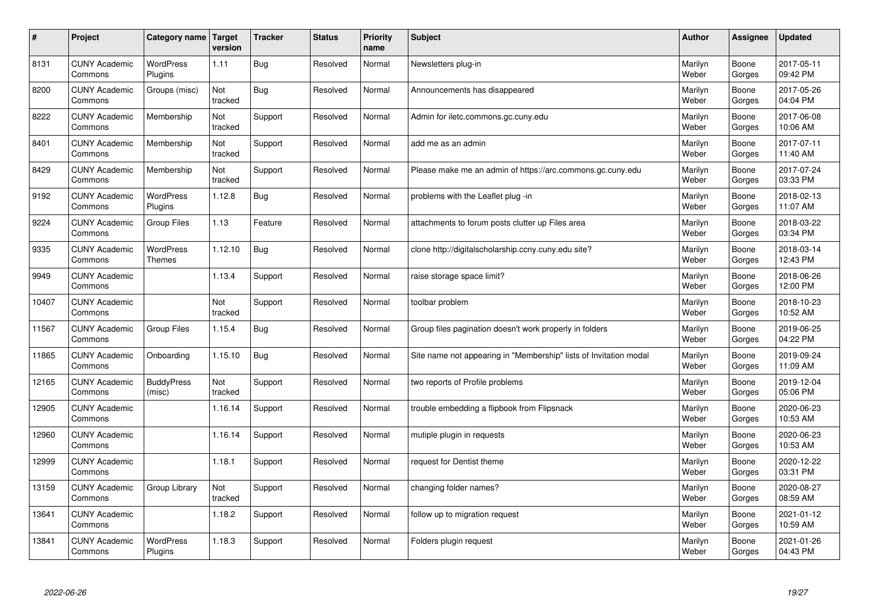| $\sharp$ | Project                         | Category name   Target      | version        | <b>Tracker</b> | <b>Status</b> | Priority<br>name | <b>Subject</b>                                                    | <b>Author</b>    | <b>Assignee</b> | <b>Updated</b>         |
|----------|---------------------------------|-----------------------------|----------------|----------------|---------------|------------------|-------------------------------------------------------------------|------------------|-----------------|------------------------|
| 8131     | <b>CUNY Academic</b><br>Commons | <b>WordPress</b><br>Plugins | 1.11           | <b>Bug</b>     | Resolved      | Normal           | Newsletters plug-in                                               | Marilyn<br>Weber | Boone<br>Gorges | 2017-05-11<br>09:42 PM |
| 8200     | <b>CUNY Academic</b><br>Commons | Groups (misc)               | Not<br>tracked | Bug            | Resolved      | Normal           | Announcements has disappeared                                     | Marilyn<br>Weber | Boone<br>Gorges | 2017-05-26<br>04:04 PM |
| 8222     | <b>CUNY Academic</b><br>Commons | Membership                  | Not<br>tracked | Support        | Resolved      | Normal           | Admin for iletc.commons.gc.cuny.edu                               | Marilyn<br>Weber | Boone<br>Gorges | 2017-06-08<br>10:06 AM |
| 8401     | <b>CUNY Academic</b><br>Commons | Membership                  | Not<br>tracked | Support        | Resolved      | Normal           | add me as an admin                                                | Marilyn<br>Weber | Boone<br>Gorges | 2017-07-11<br>11:40 AM |
| 8429     | <b>CUNY Academic</b><br>Commons | Membership                  | Not<br>tracked | Support        | Resolved      | Normal           | Please make me an admin of https://arc.commons.gc.cuny.edu        | Marilyn<br>Weber | Boone<br>Gorges | 2017-07-24<br>03:33 PM |
| 9192     | <b>CUNY Academic</b><br>Commons | WordPress<br>Plugins        | 1.12.8         | Bug            | Resolved      | Normal           | problems with the Leaflet plug -in                                | Marilyn<br>Weber | Boone<br>Gorges | 2018-02-13<br>11:07 AM |
| 9224     | <b>CUNY Academic</b><br>Commons | <b>Group Files</b>          | 1.13           | Feature        | Resolved      | Normal           | attachments to forum posts clutter up Files area                  | Marilyn<br>Weber | Boone<br>Gorges | 2018-03-22<br>03:34 PM |
| 9335     | <b>CUNY Academic</b><br>Commons | WordPress<br><b>Themes</b>  | 1.12.10        | Bug            | Resolved      | Normal           | clone http://digitalscholarship.ccny.cuny.edu site?               | Marilyn<br>Weber | Boone<br>Gorges | 2018-03-14<br>12:43 PM |
| 9949     | <b>CUNY Academic</b><br>Commons |                             | 1.13.4         | Support        | Resolved      | Normal           | raise storage space limit?                                        | Marilyn<br>Weber | Boone<br>Gorges | 2018-06-26<br>12:00 PM |
| 10407    | <b>CUNY Academic</b><br>Commons |                             | Not<br>tracked | Support        | Resolved      | Normal           | toolbar problem                                                   | Marilyn<br>Weber | Boone<br>Gorges | 2018-10-23<br>10:52 AM |
| 11567    | <b>CUNY Academic</b><br>Commons | <b>Group Files</b>          | 1.15.4         | Bug            | Resolved      | Normal           | Group files pagination doesn't work properly in folders           | Marilyn<br>Weber | Boone<br>Gorges | 2019-06-25<br>04:22 PM |
| 11865    | <b>CUNY Academic</b><br>Commons | Onboarding                  | 1.15.10        | <b>Bug</b>     | Resolved      | Normal           | Site name not appearing in "Membership" lists of Invitation modal | Marilyn<br>Weber | Boone<br>Gorges | 2019-09-24<br>11:09 AM |
| 12165    | <b>CUNY Academic</b><br>Commons | <b>BuddyPress</b><br>(misc) | Not<br>tracked | Support        | Resolved      | Normal           | two reports of Profile problems                                   | Marilyn<br>Weber | Boone<br>Gorges | 2019-12-04<br>05:06 PM |
| 12905    | <b>CUNY Academic</b><br>Commons |                             | 1.16.14        | Support        | Resolved      | Normal           | trouble embedding a flipbook from Flipsnack                       | Marilyn<br>Weber | Boone<br>Gorges | 2020-06-23<br>10:53 AM |
| 12960    | <b>CUNY Academic</b><br>Commons |                             | 1.16.14        | Support        | Resolved      | Normal           | mutiple plugin in requests                                        | Marilyn<br>Weber | Boone<br>Gorges | 2020-06-23<br>10:53 AM |
| 12999    | <b>CUNY Academic</b><br>Commons |                             | 1.18.1         | Support        | Resolved      | Normal           | request for Dentist theme                                         | Marilyn<br>Weber | Boone<br>Gorges | 2020-12-22<br>03:31 PM |
| 13159    | <b>CUNY Academic</b><br>Commons | Group Library               | Not<br>tracked | Support        | Resolved      | Normal           | changing folder names?                                            | Marilyn<br>Weber | Boone<br>Gorges | 2020-08-27<br>08:59 AM |
| 13641    | <b>CUNY Academic</b><br>Commons |                             | 1.18.2         | Support        | Resolved      | Normal           | follow up to migration request                                    | Marilyn<br>Weber | Boone<br>Gorges | 2021-01-12<br>10:59 AM |
| 13841    | <b>CUNY Academic</b><br>Commons | <b>WordPress</b><br>Plugins | 1.18.3         | Support        | Resolved      | Normal           | Folders plugin request                                            | Marilyn<br>Weber | Boone<br>Gorges | 2021-01-26<br>04:43 PM |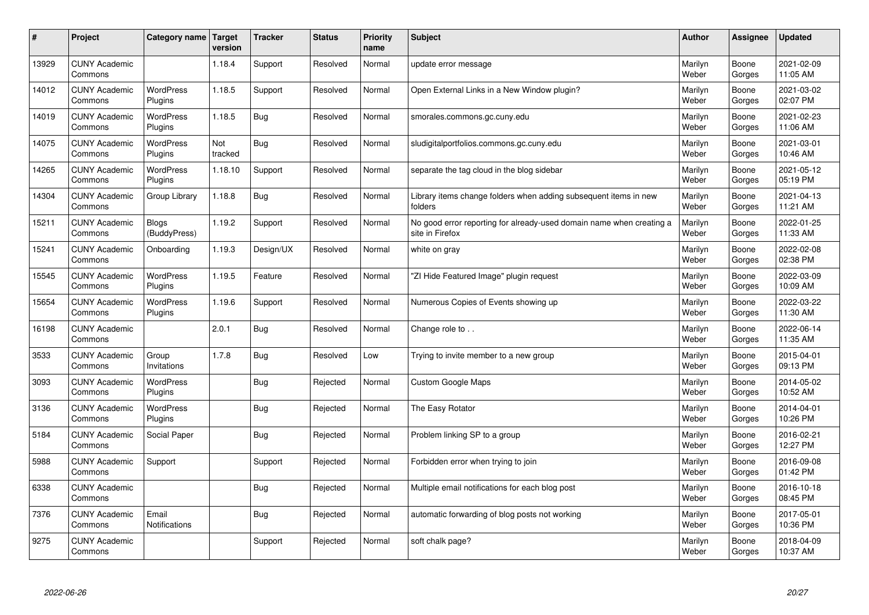| #     | Project                         | Category name                 | <b>Target</b><br>version | <b>Tracker</b> | <b>Status</b> | <b>Priority</b><br>name | <b>Subject</b>                                                                          | <b>Author</b>    | Assignee        | <b>Updated</b>         |
|-------|---------------------------------|-------------------------------|--------------------------|----------------|---------------|-------------------------|-----------------------------------------------------------------------------------------|------------------|-----------------|------------------------|
| 13929 | <b>CUNY Academic</b><br>Commons |                               | 1.18.4                   | Support        | Resolved      | Normal                  | update error message                                                                    | Marilyn<br>Weber | Boone<br>Gorges | 2021-02-09<br>11:05 AM |
| 14012 | <b>CUNY Academic</b><br>Commons | <b>WordPress</b><br>Plugins   | 1.18.5                   | Support        | Resolved      | Normal                  | Open External Links in a New Window plugin?                                             | Marilyn<br>Weber | Boone<br>Gorges | 2021-03-02<br>02:07 PM |
| 14019 | <b>CUNY Academic</b><br>Commons | <b>WordPress</b><br>Plugins   | 1.18.5                   | Bug            | Resolved      | Normal                  | smorales.commons.gc.cuny.edu                                                            | Marilyn<br>Weber | Boone<br>Gorges | 2021-02-23<br>11:06 AM |
| 14075 | <b>CUNY Academic</b><br>Commons | <b>WordPress</b><br>Plugins   | Not<br>tracked           | <b>Bug</b>     | Resolved      | Normal                  | sludigitalportfolios.commons.gc.cuny.edu                                                | Marilyn<br>Weber | Boone<br>Gorges | 2021-03-01<br>10:46 AM |
| 14265 | <b>CUNY Academic</b><br>Commons | <b>WordPress</b><br>Plugins   | 1.18.10                  | Support        | Resolved      | Normal                  | separate the tag cloud in the blog sidebar                                              | Marilyn<br>Weber | Boone<br>Gorges | 2021-05-12<br>05:19 PM |
| 14304 | <b>CUNY Academic</b><br>Commons | Group Library                 | 1.18.8                   | <b>Bug</b>     | Resolved      | Normal                  | Library items change folders when adding subsequent items in new<br>folders             | Marilyn<br>Weber | Boone<br>Gorges | 2021-04-13<br>11:21 AM |
| 15211 | <b>CUNY Academic</b><br>Commons | <b>Blogs</b><br>(BuddyPress)  | 1.19.2                   | Support        | Resolved      | Normal                  | No good error reporting for already-used domain name when creating a<br>site in Firefox | Marilyn<br>Weber | Boone<br>Gorges | 2022-01-25<br>11:33 AM |
| 15241 | <b>CUNY Academic</b><br>Commons | Onboarding                    | 1.19.3                   | Design/UX      | Resolved      | Normal                  | white on gray                                                                           | Marilyn<br>Weber | Boone<br>Gorges | 2022-02-08<br>02:38 PM |
| 15545 | <b>CUNY Academic</b><br>Commons | <b>WordPress</b><br>Plugins   | 1.19.5                   | Feature        | Resolved      | Normal                  | 'ZI Hide Featured Image" plugin request                                                 | Marilyn<br>Weber | Boone<br>Gorges | 2022-03-09<br>10:09 AM |
| 15654 | <b>CUNY Academic</b><br>Commons | WordPress<br>Plugins          | 1.19.6                   | Support        | Resolved      | Normal                  | Numerous Copies of Events showing up                                                    | Marilyn<br>Weber | Boone<br>Gorges | 2022-03-22<br>11:30 AM |
| 16198 | <b>CUNY Academic</b><br>Commons |                               | 2.0.1                    | Bug            | Resolved      | Normal                  | Change role to                                                                          | Marilyn<br>Weber | Boone<br>Gorges | 2022-06-14<br>11:35 AM |
| 3533  | <b>CUNY Academic</b><br>Commons | Group<br>Invitations          | 1.7.8                    | Bug            | Resolved      | Low                     | Trying to invite member to a new group                                                  | Marilyn<br>Weber | Boone<br>Gorges | 2015-04-01<br>09:13 PM |
| 3093  | <b>CUNY Academic</b><br>Commons | <b>WordPress</b><br>Plugins   |                          | Bug            | Rejected      | Normal                  | <b>Custom Google Maps</b>                                                               | Marilyn<br>Weber | Boone<br>Gorges | 2014-05-02<br>10:52 AM |
| 3136  | <b>CUNY Academic</b><br>Commons | WordPress<br>Plugins          |                          | <b>Bug</b>     | Rejected      | Normal                  | The Easy Rotator                                                                        | Marilyn<br>Weber | Boone<br>Gorges | 2014-04-01<br>10:26 PM |
| 5184  | <b>CUNY Academic</b><br>Commons | Social Paper                  |                          | <b>Bug</b>     | Rejected      | Normal                  | Problem linking SP to a group                                                           | Marilyn<br>Weber | Boone<br>Gorges | 2016-02-21<br>12:27 PM |
| 5988  | <b>CUNY Academic</b><br>Commons | Support                       |                          | Support        | Rejected      | Normal                  | Forbidden error when trying to join                                                     | Marilyn<br>Weber | Boone<br>Gorges | 2016-09-08<br>01:42 PM |
| 6338  | <b>CUNY Academic</b><br>Commons |                               |                          | <b>Bug</b>     | Rejected      | Normal                  | Multiple email notifications for each blog post                                         | Marilyn<br>Weber | Boone<br>Gorges | 2016-10-18<br>08:45 PM |
| 7376  | <b>CUNY Academic</b><br>Commons | Email<br><b>Notifications</b> |                          | <b>Bug</b>     | Rejected      | Normal                  | automatic forwarding of blog posts not working                                          | Marilyn<br>Weber | Boone<br>Gorges | 2017-05-01<br>10:36 PM |
| 9275  | <b>CUNY Academic</b><br>Commons |                               |                          | Support        | Rejected      | Normal                  | soft chalk page?                                                                        | Marilyn<br>Weber | Boone<br>Gorges | 2018-04-09<br>10:37 AM |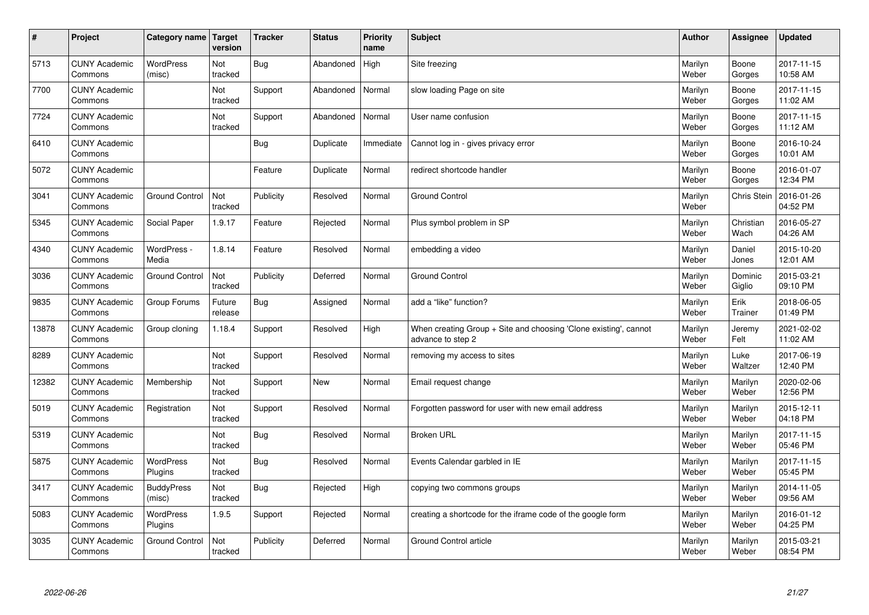| $\sharp$ | Project                         | Category name   Target      | version           | <b>Tracker</b> | <b>Status</b> | Priority<br>name | <b>Subject</b>                                                                        | <b>Author</b>    | <b>Assignee</b>   | <b>Updated</b>         |
|----------|---------------------------------|-----------------------------|-------------------|----------------|---------------|------------------|---------------------------------------------------------------------------------------|------------------|-------------------|------------------------|
| 5713     | <b>CUNY Academic</b><br>Commons | <b>WordPress</b><br>(misc)  | Not<br>tracked    | Bug            | Abandoned     | High             | Site freezing                                                                         | Marilyn<br>Weber | Boone<br>Gorges   | 2017-11-15<br>10:58 AM |
| 7700     | <b>CUNY Academic</b><br>Commons |                             | Not<br>tracked    | Support        | Abandoned     | Normal           | slow loading Page on site                                                             | Marilyn<br>Weber | Boone<br>Gorges   | 2017-11-15<br>11:02 AM |
| 7724     | <b>CUNY Academic</b><br>Commons |                             | Not<br>tracked    | Support        | Abandoned     | Normal           | User name confusion                                                                   | Marilyn<br>Weber | Boone<br>Gorges   | 2017-11-15<br>11:12 AM |
| 6410     | <b>CUNY Academic</b><br>Commons |                             |                   | <b>Bug</b>     | Duplicate     | Immediate        | Cannot log in - gives privacy error                                                   | Marilyn<br>Weber | Boone<br>Gorges   | 2016-10-24<br>10:01 AM |
| 5072     | <b>CUNY Academic</b><br>Commons |                             |                   | Feature        | Duplicate     | Normal           | redirect shortcode handler                                                            | Marilyn<br>Weber | Boone<br>Gorges   | 2016-01-07<br>12:34 PM |
| 3041     | <b>CUNY Academic</b><br>Commons | <b>Ground Control</b>       | Not<br>tracked    | Publicity      | Resolved      | Normal           | <b>Ground Control</b>                                                                 | Marilyn<br>Weber | Chris Stein       | 2016-01-26<br>04:52 PM |
| 5345     | <b>CUNY Academic</b><br>Commons | Social Paper                | 1.9.17            | Feature        | Rejected      | Normal           | Plus symbol problem in SP                                                             | Marilyn<br>Weber | Christian<br>Wach | 2016-05-27<br>04:26 AM |
| 4340     | <b>CUNY Academic</b><br>Commons | WordPress -<br>Media        | 1.8.14            | Feature        | Resolved      | Normal           | embedding a video                                                                     | Marilyn<br>Weber | Daniel<br>Jones   | 2015-10-20<br>12:01 AM |
| 3036     | <b>CUNY Academic</b><br>Commons | <b>Ground Control</b>       | Not<br>tracked    | Publicity      | Deferred      | Normal           | <b>Ground Control</b>                                                                 | Marilyn<br>Weber | Dominic<br>Giglio | 2015-03-21<br>09:10 PM |
| 9835     | <b>CUNY Academic</b><br>Commons | Group Forums                | Future<br>release | Bug            | Assigned      | Normal           | add a "like" function?                                                                | Marilyn<br>Weber | Erik<br>Trainer   | 2018-06-05<br>01:49 PM |
| 13878    | <b>CUNY Academic</b><br>Commons | Group cloning               | 1.18.4            | Support        | Resolved      | High             | When creating Group + Site and choosing 'Clone existing', cannot<br>advance to step 2 | Marilyn<br>Weber | Jeremy<br>Felt    | 2021-02-02<br>11:02 AM |
| 8289     | <b>CUNY Academic</b><br>Commons |                             | Not<br>tracked    | Support        | Resolved      | Normal           | removing my access to sites                                                           | Marilyn<br>Weber | Luke<br>Waltzer   | 2017-06-19<br>12:40 PM |
| 12382    | <b>CUNY Academic</b><br>Commons | Membership                  | Not<br>tracked    | Support        | New           | Normal           | Email request change                                                                  | Marilyn<br>Weber | Marilyn<br>Weber  | 2020-02-06<br>12:56 PM |
| 5019     | <b>CUNY Academic</b><br>Commons | Registration                | Not<br>tracked    | Support        | Resolved      | Normal           | Forgotten password for user with new email address                                    | Marilyn<br>Weber | Marilyn<br>Weber  | 2015-12-11<br>04:18 PM |
| 5319     | <b>CUNY Academic</b><br>Commons |                             | Not<br>tracked    | Bug            | Resolved      | Normal           | <b>Broken URL</b>                                                                     | Marilyn<br>Weber | Marilyn<br>Weber  | 2017-11-15<br>05:46 PM |
| 5875     | <b>CUNY Academic</b><br>Commons | WordPress<br>Plugins        | Not<br>tracked    | Bug            | Resolved      | Normal           | Events Calendar garbled in IE                                                         | Marilyn<br>Weber | Marilyn<br>Weber  | 2017-11-15<br>05:45 PM |
| 3417     | <b>CUNY Academic</b><br>Commons | <b>BuddyPress</b><br>(misc) | Not<br>tracked    | Bug            | Rejected      | High             | copying two commons groups                                                            | Marilyn<br>Weber | Marilyn<br>Weber  | 2014-11-05<br>09:56 AM |
| 5083     | <b>CUNY Academic</b><br>Commons | WordPress<br>Plugins        | 1.9.5             | Support        | Rejected      | Normal           | creating a shortcode for the iframe code of the google form                           | Marilyn<br>Weber | Marilyn<br>Weber  | 2016-01-12<br>04:25 PM |
| 3035     | <b>CUNY Academic</b><br>Commons | <b>Ground Control</b>       | Not<br>tracked    | Publicity      | Deferred      | Normal           | Ground Control article                                                                | Marilyn<br>Weber | Marilyn<br>Weber  | 2015-03-21<br>08:54 PM |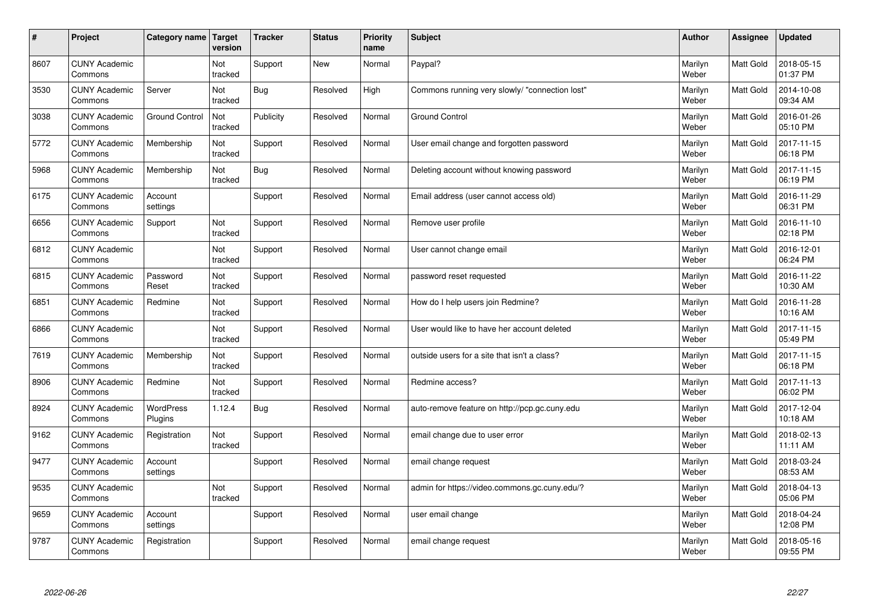| #    | Project                         | Category name         | <b>Target</b><br>version | <b>Tracker</b> | <b>Status</b> | <b>Priority</b><br>name | <b>Subject</b>                                 | <b>Author</b>    | Assignee         | <b>Updated</b>         |
|------|---------------------------------|-----------------------|--------------------------|----------------|---------------|-------------------------|------------------------------------------------|------------------|------------------|------------------------|
| 8607 | <b>CUNY Academic</b><br>Commons |                       | Not<br>tracked           | Support        | <b>New</b>    | Normal                  | Paypal?                                        | Marilyn<br>Weber | Matt Gold        | 2018-05-15<br>01:37 PM |
| 3530 | <b>CUNY Academic</b><br>Commons | Server                | Not<br>tracked           | <b>Bug</b>     | Resolved      | High                    | Commons running very slowly/ "connection lost" | Marilyn<br>Weber | <b>Matt Gold</b> | 2014-10-08<br>09:34 AM |
| 3038 | <b>CUNY Academic</b><br>Commons | <b>Ground Control</b> | Not<br>tracked           | Publicity      | Resolved      | Normal                  | <b>Ground Control</b>                          | Marilyn<br>Weber | <b>Matt Gold</b> | 2016-01-26<br>05:10 PM |
| 5772 | <b>CUNY Academic</b><br>Commons | Membership            | Not<br>tracked           | Support        | Resolved      | Normal                  | User email change and forgotten password       | Marilyn<br>Weber | Matt Gold        | 2017-11-15<br>06:18 PM |
| 5968 | <b>CUNY Academic</b><br>Commons | Membership            | Not<br>tracked           | <b>Bug</b>     | Resolved      | Normal                  | Deleting account without knowing password      | Marilyn<br>Weber | <b>Matt Gold</b> | 2017-11-15<br>06:19 PM |
| 6175 | <b>CUNY Academic</b><br>Commons | Account<br>settings   |                          | Support        | Resolved      | Normal                  | Email address (user cannot access old)         | Marilyn<br>Weber | <b>Matt Gold</b> | 2016-11-29<br>06:31 PM |
| 6656 | <b>CUNY Academic</b><br>Commons | Support               | Not<br>tracked           | Support        | Resolved      | Normal                  | Remove user profile                            | Marilyn<br>Weber | <b>Matt Gold</b> | 2016-11-10<br>02:18 PM |
| 6812 | <b>CUNY Academic</b><br>Commons |                       | Not<br>tracked           | Support        | Resolved      | Normal                  | User cannot change email                       | Marilyn<br>Weber | Matt Gold        | 2016-12-01<br>06:24 PM |
| 6815 | <b>CUNY Academic</b><br>Commons | Password<br>Reset     | Not<br>tracked           | Support        | Resolved      | Normal                  | password reset requested                       | Marilyn<br>Weber | <b>Matt Gold</b> | 2016-11-22<br>10:30 AM |
| 6851 | <b>CUNY Academic</b><br>Commons | Redmine               | Not<br>tracked           | Support        | Resolved      | Normal                  | How do I help users join Redmine?              | Marilyn<br>Weber | <b>Matt Gold</b> | 2016-11-28<br>10:16 AM |
| 6866 | <b>CUNY Academic</b><br>Commons |                       | Not<br>tracked           | Support        | Resolved      | Normal                  | User would like to have her account deleted    | Marilyn<br>Weber | <b>Matt Gold</b> | 2017-11-15<br>05:49 PM |
| 7619 | <b>CUNY Academic</b><br>Commons | Membership            | Not<br>tracked           | Support        | Resolved      | Normal                  | outside users for a site that isn't a class?   | Marilyn<br>Weber | Matt Gold        | 2017-11-15<br>06:18 PM |
| 8906 | <b>CUNY Academic</b><br>Commons | Redmine               | Not<br>tracked           | Support        | Resolved      | Normal                  | Redmine access?                                | Marilyn<br>Weber | Matt Gold        | 2017-11-13<br>06:02 PM |
| 8924 | <b>CUNY Academic</b><br>Commons | WordPress<br>Plugins  | 1.12.4                   | <b>Bug</b>     | Resolved      | Normal                  | auto-remove feature on http://pcp.gc.cuny.edu  | Marilyn<br>Weber | Matt Gold        | 2017-12-04<br>10:18 AM |
| 9162 | <b>CUNY Academic</b><br>Commons | Registration          | Not<br>tracked           | Support        | Resolved      | Normal                  | email change due to user error                 | Marilyn<br>Weber | Matt Gold        | 2018-02-13<br>11:11 AM |
| 9477 | <b>CUNY Academic</b><br>Commons | Account<br>settings   |                          | Support        | Resolved      | Normal                  | email change request                           | Marilyn<br>Weber | Matt Gold        | 2018-03-24<br>08:53 AM |
| 9535 | <b>CUNY Academic</b><br>Commons |                       | Not<br>tracked           | Support        | Resolved      | Normal                  | admin for https://video.commons.gc.cuny.edu/?  | Marilyn<br>Weber | <b>Matt Gold</b> | 2018-04-13<br>05:06 PM |
| 9659 | <b>CUNY Academic</b><br>Commons | Account<br>settings   |                          | Support        | Resolved      | Normal                  | user email change                              | Marilyn<br>Weber | Matt Gold        | 2018-04-24<br>12:08 PM |
| 9787 | <b>CUNY Academic</b><br>Commons | Registration          |                          | Support        | Resolved      | Normal                  | email change request                           | Marilyn<br>Weber | Matt Gold        | 2018-05-16<br>09:55 PM |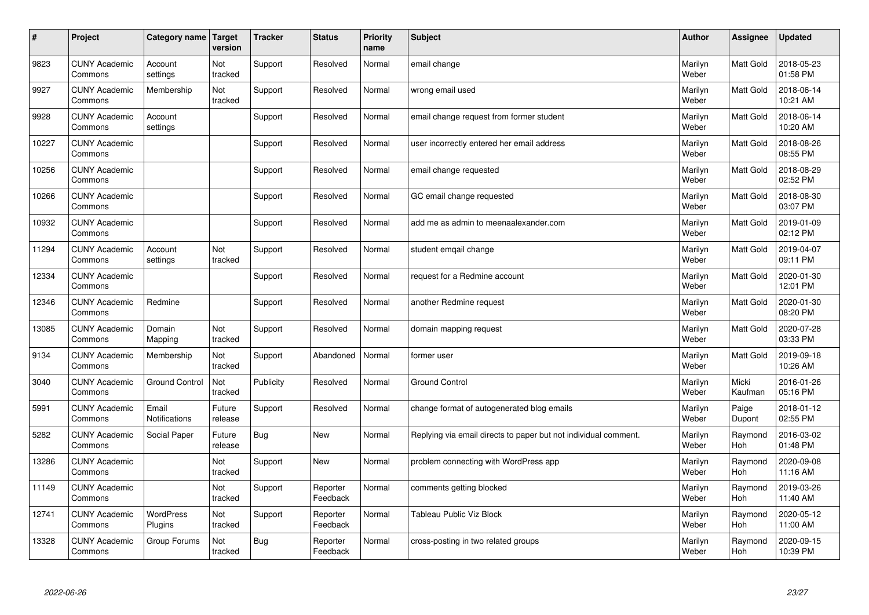| $\#$  | Project                         | Category name   Target        | version           | <b>Tracker</b> | <b>Status</b>        | Priority<br>name | <b>Subject</b>                                                  | <b>Author</b>    | <b>Assignee</b>  | <b>Updated</b>         |
|-------|---------------------------------|-------------------------------|-------------------|----------------|----------------------|------------------|-----------------------------------------------------------------|------------------|------------------|------------------------|
| 9823  | <b>CUNY Academic</b><br>Commons | Account<br>settings           | Not<br>tracked    | Support        | Resolved             | Normal           | email change                                                    | Marilyn<br>Weber | <b>Matt Gold</b> | 2018-05-23<br>01:58 PM |
| 9927  | <b>CUNY Academic</b><br>Commons | Membership                    | Not<br>tracked    | Support        | Resolved             | Normal           | wrong email used                                                | Marilyn<br>Weber | <b>Matt Gold</b> | 2018-06-14<br>10:21 AM |
| 9928  | <b>CUNY Academic</b><br>Commons | Account<br>settings           |                   | Support        | Resolved             | Normal           | email change request from former student                        | Marilyn<br>Weber | <b>Matt Gold</b> | 2018-06-14<br>10:20 AM |
| 10227 | <b>CUNY Academic</b><br>Commons |                               |                   | Support        | Resolved             | Normal           | user incorrectly entered her email address                      | Marilyn<br>Weber | <b>Matt Gold</b> | 2018-08-26<br>08:55 PM |
| 10256 | <b>CUNY Academic</b><br>Commons |                               |                   | Support        | Resolved             | Normal           | email change requested                                          | Marilyn<br>Weber | <b>Matt Gold</b> | 2018-08-29<br>02:52 PM |
| 10266 | <b>CUNY Academic</b><br>Commons |                               |                   | Support        | Resolved             | Normal           | GC email change requested                                       | Marilyn<br>Weber | <b>Matt Gold</b> | 2018-08-30<br>03:07 PM |
| 10932 | <b>CUNY Academic</b><br>Commons |                               |                   | Support        | Resolved             | Normal           | add me as admin to meenaalexander.com                           | Marilyn<br>Weber | Matt Gold        | 2019-01-09<br>02:12 PM |
| 11294 | <b>CUNY Academic</b><br>Commons | Account<br>settings           | Not<br>tracked    | Support        | Resolved             | Normal           | student emgail change                                           | Marilyn<br>Weber | Matt Gold        | 2019-04-07<br>09:11 PM |
| 12334 | <b>CUNY Academic</b><br>Commons |                               |                   | Support        | Resolved             | Normal           | request for a Redmine account                                   | Marilyn<br>Weber | <b>Matt Gold</b> | 2020-01-30<br>12:01 PM |
| 12346 | <b>CUNY Academic</b><br>Commons | Redmine                       |                   | Support        | Resolved             | Normal           | another Redmine request                                         | Marilyn<br>Weber | <b>Matt Gold</b> | 2020-01-30<br>08:20 PM |
| 13085 | <b>CUNY Academic</b><br>Commons | Domain<br>Mapping             | Not<br>tracked    | Support        | Resolved             | Normal           | domain mapping request                                          | Marilyn<br>Weber | <b>Matt Gold</b> | 2020-07-28<br>03:33 PM |
| 9134  | <b>CUNY Academic</b><br>Commons | Membership                    | Not<br>tracked    | Support        | Abandoned            | Normal           | former user                                                     | Marilyn<br>Weber | Matt Gold        | 2019-09-18<br>10:26 AM |
| 3040  | <b>CUNY Academic</b><br>Commons | <b>Ground Control</b>         | Not<br>tracked    | Publicity      | Resolved             | Normal           | <b>Ground Control</b>                                           | Marilyn<br>Weber | Micki<br>Kaufman | 2016-01-26<br>05:16 PM |
| 5991  | <b>CUNY Academic</b><br>Commons | Email<br><b>Notifications</b> | Future<br>release | Support        | Resolved             | Normal           | change format of autogenerated blog emails                      | Marilyn<br>Weber | Paige<br>Dupont  | 2018-01-12<br>02:55 PM |
| 5282  | <b>CUNY Academic</b><br>Commons | Social Paper                  | Future<br>release | Bug            | <b>New</b>           | Normal           | Replying via email directs to paper but not individual comment. | Marilyn<br>Weber | Raymond<br>Hoh   | 2016-03-02<br>01:48 PM |
| 13286 | <b>CUNY Academic</b><br>Commons |                               | Not<br>tracked    | Support        | <b>New</b>           | Normal           | problem connecting with WordPress app                           | Marilyn<br>Weber | Raymond<br>Hoh   | 2020-09-08<br>11:16 AM |
| 11149 | <b>CUNY Academic</b><br>Commons |                               | Not<br>tracked    | Support        | Reporter<br>Feedback | Normal           | comments getting blocked                                        | Marilyn<br>Weber | Raymond<br>Hoh   | 2019-03-26<br>11:40 AM |
| 12741 | <b>CUNY Academic</b><br>Commons | <b>WordPress</b><br>Plugins   | Not<br>tracked    | Support        | Reporter<br>Feedback | Normal           | Tableau Public Viz Block                                        | Marilyn<br>Weber | Raymond<br>Hoh   | 2020-05-12<br>11:00 AM |
| 13328 | <b>CUNY Academic</b><br>Commons | Group Forums                  | Not<br>tracked    | <b>Bug</b>     | Reporter<br>Feedback | Normal           | cross-posting in two related groups                             | Marilyn<br>Weber | Raymond<br>Hoh   | 2020-09-15<br>10:39 PM |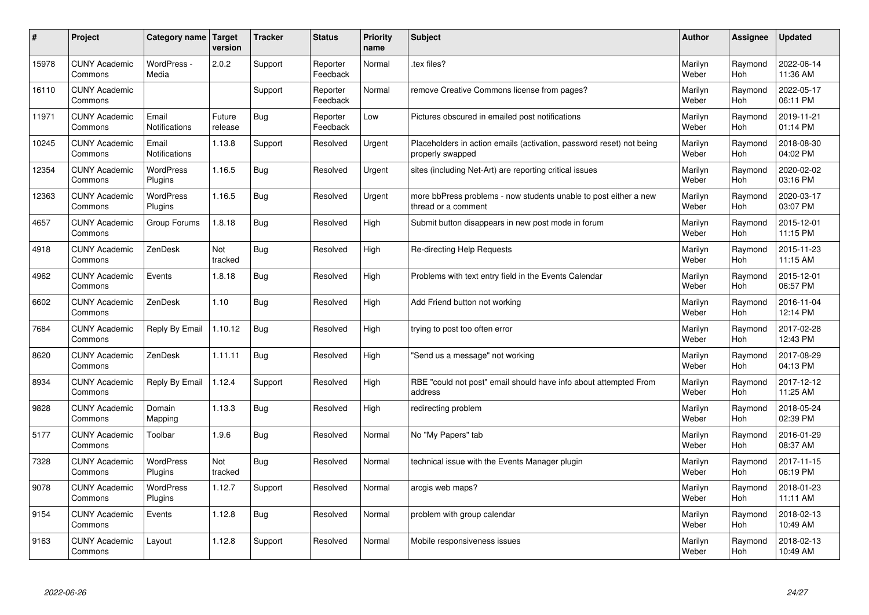| #     | Project                         | Category name                 | <b>Target</b><br>version | <b>Tracker</b> | <b>Status</b>        | <b>Priority</b><br>name | <b>Subject</b>                                                                           | <b>Author</b>    | Assignee       | <b>Updated</b>         |
|-------|---------------------------------|-------------------------------|--------------------------|----------------|----------------------|-------------------------|------------------------------------------------------------------------------------------|------------------|----------------|------------------------|
| 15978 | <b>CUNY Academic</b><br>Commons | WordPress -<br>Media          | 2.0.2                    | Support        | Reporter<br>Feedback | Normal                  | tex files?                                                                               | Marilyn<br>Weber | Raymond<br>Hoh | 2022-06-14<br>11:36 AM |
| 16110 | <b>CUNY Academic</b><br>Commons |                               |                          | Support        | Reporter<br>Feedback | Normal                  | remove Creative Commons license from pages?                                              | Marilyn<br>Weber | Raymond<br>Hoh | 2022-05-17<br>06:11 PM |
| 11971 | <b>CUNY Academic</b><br>Commons | Email<br><b>Notifications</b> | Future<br>release        | <b>Bug</b>     | Reporter<br>Feedback | Low                     | Pictures obscured in emailed post notifications                                          | Marilyn<br>Weber | Raymond<br>Hoh | 2019-11-21<br>01:14 PM |
| 10245 | <b>CUNY Academic</b><br>Commons | Email<br>Notifications        | 1.13.8                   | Support        | Resolved             | Urgent                  | Placeholders in action emails (activation, password reset) not being<br>properly swapped | Marilyn<br>Weber | Raymond<br>Hoh | 2018-08-30<br>04:02 PM |
| 12354 | <b>CUNY Academic</b><br>Commons | <b>WordPress</b><br>Plugins   | 1.16.5                   | Bug            | Resolved             | Urgent                  | sites (including Net-Art) are reporting critical issues                                  | Marilyn<br>Weber | Raymond<br>Hoh | 2020-02-02<br>03:16 PM |
| 12363 | <b>CUNY Academic</b><br>Commons | <b>WordPress</b><br>Plugins   | 1.16.5                   | <b>Bug</b>     | Resolved             | Urgent                  | more bbPress problems - now students unable to post either a new<br>thread or a comment  | Marilyn<br>Weber | Raymond<br>Hoh | 2020-03-17<br>03:07 PM |
| 4657  | <b>CUNY Academic</b><br>Commons | Group Forums                  | 1.8.18                   | <b>Bug</b>     | Resolved             | High                    | Submit button disappears in new post mode in forum                                       | Marilyn<br>Weber | Raymond<br>Hoh | 2015-12-01<br>11:15 PM |
| 4918  | <b>CUNY Academic</b><br>Commons | ZenDesk                       | Not<br>tracked           | <b>Bug</b>     | Resolved             | High                    | Re-directing Help Requests                                                               | Marilyn<br>Weber | Raymond<br>Hoh | 2015-11-23<br>11:15 AM |
| 4962  | <b>CUNY Academic</b><br>Commons | Events                        | 1.8.18                   | Bug            | Resolved             | High                    | Problems with text entry field in the Events Calendar                                    | Marilyn<br>Weber | Raymond<br>Hoh | 2015-12-01<br>06:57 PM |
| 6602  | <b>CUNY Academic</b><br>Commons | ZenDesk                       | 1.10                     | <b>Bug</b>     | Resolved             | High                    | Add Friend button not working                                                            | Marilyn<br>Weber | Raymond<br>Hoh | 2016-11-04<br>12:14 PM |
| 7684  | <b>CUNY Academic</b><br>Commons | Reply By Email                | 1.10.12                  | Bug            | Resolved             | High                    | trying to post too often error                                                           | Marilyn<br>Weber | Raymond<br>Hoh | 2017-02-28<br>12:43 PM |
| 8620  | <b>CUNY Academic</b><br>Commons | ZenDesk                       | 1.11.11                  | Bug            | Resolved             | High                    | 'Send us a message" not working                                                          | Marilyn<br>Weber | Raymond<br>Hoh | 2017-08-29<br>04:13 PM |
| 8934  | <b>CUNY Academic</b><br>Commons | Reply By Email                | 1.12.4                   | Support        | Resolved             | High                    | RBE "could not post" email should have info about attempted From<br>address              | Marilyn<br>Weber | Raymond<br>Hoh | 2017-12-12<br>11:25 AM |
| 9828  | <b>CUNY Academic</b><br>Commons | Domain<br>Mapping             | 1.13.3                   | <b>Bug</b>     | Resolved             | High                    | redirecting problem                                                                      | Marilyn<br>Weber | Raymond<br>Hoh | 2018-05-24<br>02:39 PM |
| 5177  | <b>CUNY Academic</b><br>Commons | Toolbar                       | 1.9.6                    | Bug            | Resolved             | Normal                  | No "My Papers" tab                                                                       | Marilyn<br>Weber | Raymond<br>Hoh | 2016-01-29<br>08:37 AM |
| 7328  | <b>CUNY Academic</b><br>Commons | WordPress<br>Plugins          | Not<br>tracked           | <b>Bug</b>     | Resolved             | Normal                  | technical issue with the Events Manager plugin                                           | Marilyn<br>Weber | Raymond<br>Hoh | 2017-11-15<br>06:19 PM |
| 9078  | <b>CUNY Academic</b><br>Commons | WordPress<br>Plugins          | 1.12.7                   | Support        | Resolved             | Normal                  | arcgis web maps?                                                                         | Marilyn<br>Weber | Raymond<br>Hoh | 2018-01-23<br>11:11 AM |
| 9154  | <b>CUNY Academic</b><br>Commons | Events                        | 1.12.8                   | <b>Bug</b>     | Resolved             | Normal                  | problem with group calendar                                                              | Marilyn<br>Weber | Raymond<br>Hoh | 2018-02-13<br>10:49 AM |
| 9163  | <b>CUNY Academic</b><br>Commons | Layout                        | 1.12.8                   | Support        | Resolved             | Normal                  | Mobile responsiveness issues                                                             | Marilyn<br>Weber | Raymond<br>Hoh | 2018-02-13<br>10:49 AM |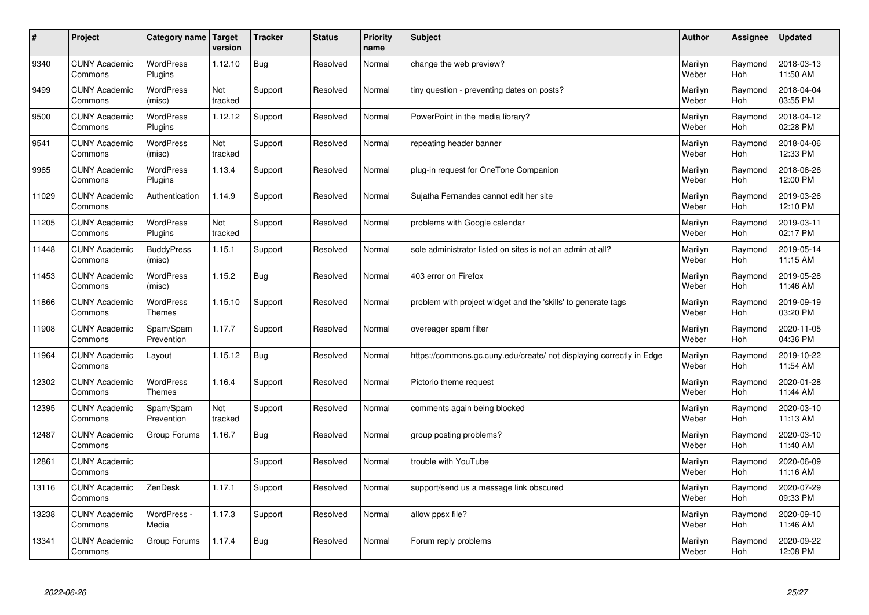| $\vert$ # | Project                         | Category name               | <b>Target</b><br>version | <b>Tracker</b> | <b>Status</b> | <b>Priority</b><br>name | <b>Subject</b>                                                       | <b>Author</b>    | <b>Assignee</b>       | <b>Updated</b>         |
|-----------|---------------------------------|-----------------------------|--------------------------|----------------|---------------|-------------------------|----------------------------------------------------------------------|------------------|-----------------------|------------------------|
| 9340      | <b>CUNY Academic</b><br>Commons | <b>WordPress</b><br>Plugins | 1.12.10                  | Bug            | Resolved      | Normal                  | change the web preview?                                              | Marilyn<br>Weber | Raymond<br><b>Hoh</b> | 2018-03-13<br>11:50 AM |
| 9499      | <b>CUNY Academic</b><br>Commons | <b>WordPress</b><br>(misc)  | Not<br>tracked           | Support        | Resolved      | Normal                  | tiny question - preventing dates on posts?                           | Marilyn<br>Weber | Raymond<br>Hoh        | 2018-04-04<br>03:55 PM |
| 9500      | <b>CUNY Academic</b><br>Commons | WordPress<br>Plugins        | 1.12.12                  | Support        | Resolved      | Normal                  | PowerPoint in the media library?                                     | Marilyn<br>Weber | Raymond<br><b>Hoh</b> | 2018-04-12<br>02:28 PM |
| 9541      | <b>CUNY Academic</b><br>Commons | WordPress<br>(misc)         | Not<br>tracked           | Support        | Resolved      | Normal                  | repeating header banner                                              | Marilyn<br>Weber | Raymond<br><b>Hoh</b> | 2018-04-06<br>12:33 PM |
| 9965      | <b>CUNY Academic</b><br>Commons | <b>WordPress</b><br>Plugins | 1.13.4                   | Support        | Resolved      | Normal                  | plug-in request for OneTone Companion                                | Marilyn<br>Weber | Raymond<br>Hoh        | 2018-06-26<br>12:00 PM |
| 11029     | <b>CUNY Academic</b><br>Commons | Authentication              | 1.14.9                   | Support        | Resolved      | Normal                  | Sujatha Fernandes cannot edit her site                               | Marilyn<br>Weber | Raymond<br>Hoh        | 2019-03-26<br>12:10 PM |
| 11205     | <b>CUNY Academic</b><br>Commons | WordPress<br>Plugins        | Not<br>tracked           | Support        | Resolved      | Normal                  | problems with Google calendar                                        | Marilyn<br>Weber | Raymond<br><b>Hoh</b> | 2019-03-11<br>02:17 PM |
| 11448     | <b>CUNY Academic</b><br>Commons | <b>BuddyPress</b><br>(misc) | 1.15.1                   | Support        | Resolved      | Normal                  | sole administrator listed on sites is not an admin at all?           | Marilyn<br>Weber | Raymond<br>Hoh        | 2019-05-14<br>11:15 AM |
| 11453     | <b>CUNY Academic</b><br>Commons | WordPress<br>(misc)         | 1.15.2                   | Bug            | Resolved      | Normal                  | 403 error on Firefox                                                 | Marilyn<br>Weber | Raymond<br>Hoh        | 2019-05-28<br>11:46 AM |
| 11866     | <b>CUNY Academic</b><br>Commons | WordPress<br><b>Themes</b>  | 1.15.10                  | Support        | Resolved      | Normal                  | problem with project widget and the 'skills' to generate tags        | Marilyn<br>Weber | Raymond<br>Hoh        | 2019-09-19<br>03:20 PM |
| 11908     | <b>CUNY Academic</b><br>Commons | Spam/Spam<br>Prevention     | 1.17.7                   | Support        | Resolved      | Normal                  | overeager spam filter                                                | Marilyn<br>Weber | Raymond<br><b>Hoh</b> | 2020-11-05<br>04:36 PM |
| 11964     | <b>CUNY Academic</b><br>Commons | Layout                      | 1.15.12                  | Bug            | Resolved      | Normal                  | https://commons.gc.cuny.edu/create/ not displaying correctly in Edge | Marilyn<br>Weber | Raymond<br><b>Hoh</b> | 2019-10-22<br>11:54 AM |
| 12302     | <b>CUNY Academic</b><br>Commons | WordPress<br><b>Themes</b>  | 1.16.4                   | Support        | Resolved      | Normal                  | Pictorio theme request                                               | Marilyn<br>Weber | Raymond<br>Hoh        | 2020-01-28<br>11:44 AM |
| 12395     | <b>CUNY Academic</b><br>Commons | Spam/Spam<br>Prevention     | Not<br>tracked           | Support        | Resolved      | Normal                  | comments again being blocked                                         | Marilyn<br>Weber | Raymond<br>Hoh        | 2020-03-10<br>11:13 AM |
| 12487     | <b>CUNY Academic</b><br>Commons | Group Forums                | 1.16.7                   | Bug            | Resolved      | Normal                  | group posting problems?                                              | Marilyn<br>Weber | Raymond<br><b>Hoh</b> | 2020-03-10<br>11:40 AM |
| 12861     | <b>CUNY Academic</b><br>Commons |                             |                          | Support        | Resolved      | Normal                  | trouble with YouTube                                                 | Marilyn<br>Weber | Raymond<br><b>Hoh</b> | 2020-06-09<br>11:16 AM |
| 13116     | <b>CUNY Academic</b><br>Commons | ZenDesk                     | 1.17.1                   | Support        | Resolved      | Normal                  | support/send us a message link obscured                              | Marilyn<br>Weber | Raymond<br><b>Hoh</b> | 2020-07-29<br>09:33 PM |
| 13238     | <b>CUNY Academic</b><br>Commons | WordPress -<br>Media        | 1.17.3                   | Support        | Resolved      | Normal                  | allow ppsx file?                                                     | Marilyn<br>Weber | Raymond<br>Hoh        | 2020-09-10<br>11:46 AM |
| 13341     | <b>CUNY Academic</b><br>Commons | Group Forums                | 1.17.4                   | Bug            | Resolved      | Normal                  | Forum reply problems                                                 | Marilyn<br>Weber | Raymond<br><b>Hoh</b> | 2020-09-22<br>12:08 PM |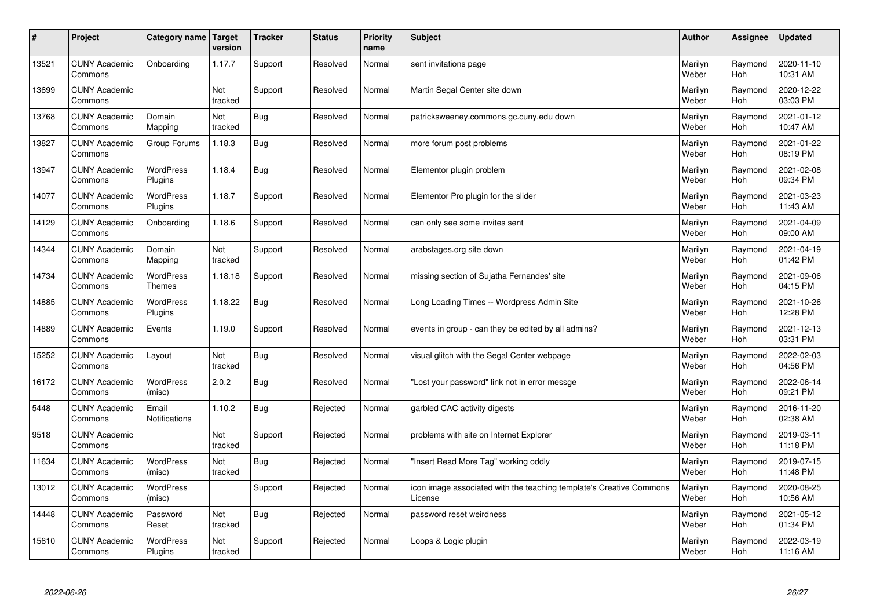| $\sharp$ | Project                         | Category name                 | Target<br>version | <b>Tracker</b> | <b>Status</b> | <b>Priority</b><br>name | <b>Subject</b>                                                                 | <b>Author</b>    | Assignee       | <b>Updated</b>         |
|----------|---------------------------------|-------------------------------|-------------------|----------------|---------------|-------------------------|--------------------------------------------------------------------------------|------------------|----------------|------------------------|
| 13521    | <b>CUNY Academic</b><br>Commons | Onboarding                    | 1.17.7            | Support        | Resolved      | Normal                  | sent invitations page                                                          | Marilyn<br>Weber | Raymond<br>Hoh | 2020-11-10<br>10:31 AM |
| 13699    | <b>CUNY Academic</b><br>Commons |                               | Not<br>tracked    | Support        | Resolved      | Normal                  | Martin Segal Center site down                                                  | Marilyn<br>Weber | Raymond<br>Hoh | 2020-12-22<br>03:03 PM |
| 13768    | <b>CUNY Academic</b><br>Commons | Domain<br>Mapping             | Not<br>tracked    | <b>Bug</b>     | Resolved      | Normal                  | patricksweeney.commons.gc.cuny.edu down                                        | Marilyn<br>Weber | Raymond<br>Hoh | 2021-01-12<br>10:47 AM |
| 13827    | <b>CUNY Academic</b><br>Commons | Group Forums                  | 1.18.3            | Bug            | Resolved      | Normal                  | more forum post problems                                                       | Marilyn<br>Weber | Raymond<br>Hoh | 2021-01-22<br>08:19 PM |
| 13947    | <b>CUNY Academic</b><br>Commons | WordPress<br>Plugins          | 1.18.4            | Bug            | Resolved      | Normal                  | Elementor plugin problem                                                       | Marilyn<br>Weber | Raymond<br>Hoh | 2021-02-08<br>09:34 PM |
| 14077    | <b>CUNY Academic</b><br>Commons | WordPress<br>Plugins          | 1.18.7            | Support        | Resolved      | Normal                  | Elementor Pro plugin for the slider                                            | Marilyn<br>Weber | Raymond<br>Hoh | 2021-03-23<br>11:43 AM |
| 14129    | <b>CUNY Academic</b><br>Commons | Onboarding                    | 1.18.6            | Support        | Resolved      | Normal                  | can only see some invites sent                                                 | Marilyn<br>Weber | Raymond<br>Hoh | 2021-04-09<br>09:00 AM |
| 14344    | <b>CUNY Academic</b><br>Commons | Domain<br>Mapping             | Not<br>tracked    | Support        | Resolved      | Normal                  | arabstages.org site down                                                       | Marilyn<br>Weber | Raymond<br>Hoh | 2021-04-19<br>01:42 PM |
| 14734    | <b>CUNY Academic</b><br>Commons | WordPress<br><b>Themes</b>    | 1.18.18           | Support        | Resolved      | Normal                  | missing section of Sujatha Fernandes' site                                     | Marilyn<br>Weber | Raymond<br>Hoh | 2021-09-06<br>04:15 PM |
| 14885    | <b>CUNY Academic</b><br>Commons | <b>WordPress</b><br>Plugins   | 1.18.22           | Bug            | Resolved      | Normal                  | Long Loading Times -- Wordpress Admin Site                                     | Marilyn<br>Weber | Raymond<br>Hoh | 2021-10-26<br>12:28 PM |
| 14889    | <b>CUNY Academic</b><br>Commons | Events                        | 1.19.0            | Support        | Resolved      | Normal                  | events in group - can they be edited by all admins?                            | Marilyn<br>Weber | Raymond<br>Hoh | 2021-12-13<br>03:31 PM |
| 15252    | <b>CUNY Academic</b><br>Commons | Layout                        | Not<br>tracked    | <b>Bug</b>     | Resolved      | Normal                  | visual glitch with the Segal Center webpage                                    | Marilyn<br>Weber | Raymond<br>Hoh | 2022-02-03<br>04:56 PM |
| 16172    | <b>CUNY Academic</b><br>Commons | <b>WordPress</b><br>(misc)    | 2.0.2             | Bug            | Resolved      | Normal                  | 'Lost your password" link not in error messge                                  | Marilyn<br>Weber | Raymond<br>Hoh | 2022-06-14<br>09:21 PM |
| 5448     | <b>CUNY Academic</b><br>Commons | Email<br><b>Notifications</b> | 1.10.2            | <b>Bug</b>     | Rejected      | Normal                  | garbled CAC activity digests                                                   | Marilyn<br>Weber | Raymond<br>Hoh | 2016-11-20<br>02:38 AM |
| 9518     | <b>CUNY Academic</b><br>Commons |                               | Not<br>tracked    | Support        | Rejected      | Normal                  | problems with site on Internet Explorer                                        | Marilyn<br>Weber | Raymond<br>Hoh | 2019-03-11<br>11:18 PM |
| 11634    | <b>CUNY Academic</b><br>Commons | <b>WordPress</b><br>(misc)    | Not<br>tracked    | <b>Bug</b>     | Rejected      | Normal                  | 'Insert Read More Tag" working oddly                                           | Marilyn<br>Weber | Raymond<br>Hoh | 2019-07-15<br>11:48 PM |
| 13012    | <b>CUNY Academic</b><br>Commons | WordPress<br>(misc)           |                   | Support        | Rejected      | Normal                  | icon image associated with the teaching template's Creative Commons<br>License | Marilyn<br>Weber | Raymond<br>Hoh | 2020-08-25<br>10:56 AM |
| 14448    | <b>CUNY Academic</b><br>Commons | Password<br>Reset             | Not<br>tracked    | <b>Bug</b>     | Rejected      | Normal                  | password reset weirdness                                                       | Marilyn<br>Weber | Raymond<br>Hoh | 2021-05-12<br>01:34 PM |
| 15610    | <b>CUNY Academic</b><br>Commons | <b>WordPress</b><br>Plugins   | Not<br>tracked    | Support        | Rejected      | Normal                  | Loops & Logic plugin                                                           | Marilyn<br>Weber | Raymond<br>Hoh | 2022-03-19<br>11:16 AM |